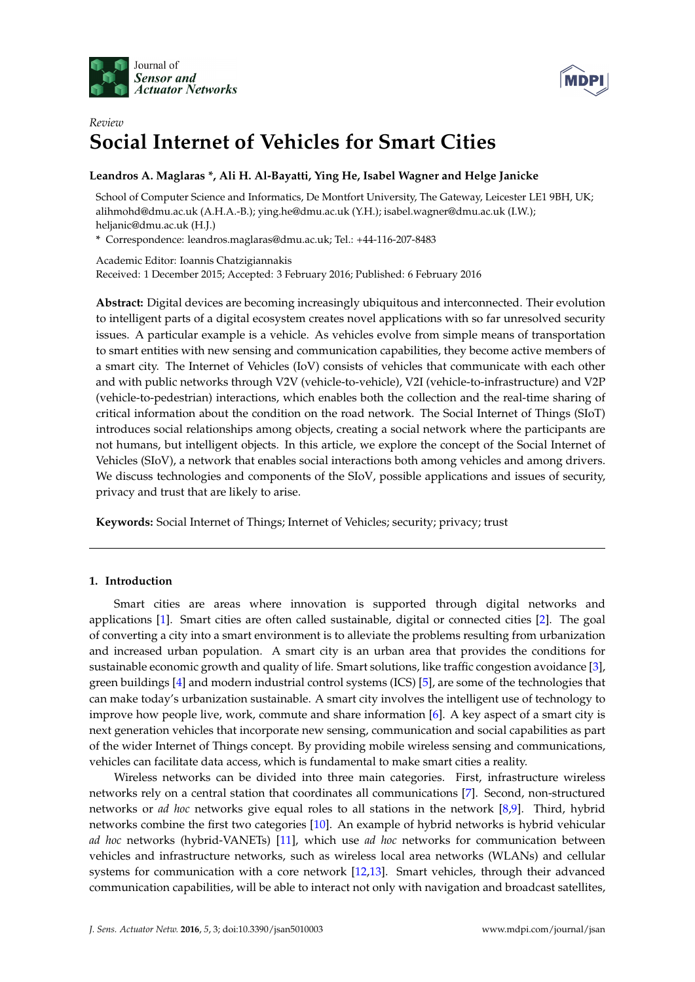



# *Review* **Social Internet of Vehicles for Smart Cities**

# **Leandros A. Maglaras \*, Ali H. Al-Bayatti, Ying He, Isabel Wagner and Helge Janicke**

School of Computer Science and Informatics, De Montfort University, The Gateway, Leicester LE1 9BH, UK; alihmohd@dmu.ac.uk (A.H.A.-B.); ying.he@dmu.ac.uk (Y.H.); isabel.wagner@dmu.ac.uk (I.W.); heljanic@dmu.ac.uk (H.J.)

**\*** Correspondence: leandros.maglaras@dmu.ac.uk; Tel.: +44-116-207-8483

Academic Editor: Ioannis Chatzigiannakis Received: 1 December 2015; Accepted: 3 February 2016; Published: 6 February 2016

**Abstract:** Digital devices are becoming increasingly ubiquitous and interconnected. Their evolution to intelligent parts of a digital ecosystem creates novel applications with so far unresolved security issues. A particular example is a vehicle. As vehicles evolve from simple means of transportation to smart entities with new sensing and communication capabilities, they become active members of a smart city. The Internet of Vehicles (IoV) consists of vehicles that communicate with each other and with public networks through V2V (vehicle-to-vehicle), V2I (vehicle-to-infrastructure) and V2P (vehicle-to-pedestrian) interactions, which enables both the collection and the real-time sharing of critical information about the condition on the road network. The Social Internet of Things (SIoT) introduces social relationships among objects, creating a social network where the participants are not humans, but intelligent objects. In this article, we explore the concept of the Social Internet of Vehicles (SIoV), a network that enables social interactions both among vehicles and among drivers. We discuss technologies and components of the SIoV, possible applications and issues of security, privacy and trust that are likely to arise.

**Keywords:** Social Internet of Things; Internet of Vehicles; security; privacy; trust

# **1. Introduction**

Smart cities are areas where innovation is supported through digital networks and applications [\[1\]](#page-15-0). Smart cities are often called sustainable, digital or connected cities [\[2\]](#page-15-1). The goal of converting a city into a smart environment is to alleviate the problems resulting from urbanization and increased urban population. A smart city is an urban area that provides the conditions for sustainable economic growth and quality of life. Smart solutions, like traffic congestion avoidance [\[3\]](#page-15-2), green buildings [\[4\]](#page-15-3) and modern industrial control systems (ICS) [\[5\]](#page-15-4), are some of the technologies that can make today's urbanization sustainable. A smart city involves the intelligent use of technology to improve how people live, work, commute and share information [\[6\]](#page-15-5). A key aspect of a smart city is next generation vehicles that incorporate new sensing, communication and social capabilities as part of the wider Internet of Things concept. By providing mobile wireless sensing and communications, vehicles can facilitate data access, which is fundamental to make smart cities a reality.

Wireless networks can be divided into three main categories. First, infrastructure wireless networks rely on a central station that coordinates all communications [\[7\]](#page-15-6). Second, non-structured networks or *ad hoc* networks give equal roles to all stations in the network [\[8,](#page-15-7)[9\]](#page-15-8). Third, hybrid networks combine the first two categories [\[10\]](#page-15-9). An example of hybrid networks is hybrid vehicular *ad hoc* networks (hybrid-VANETs) [\[11\]](#page-15-10), which use *ad hoc* networks for communication between vehicles and infrastructure networks, such as wireless local area networks (WLANs) and cellular systems for communication with a core network [\[12](#page-15-11)[,13\]](#page-15-12). Smart vehicles, through their advanced communication capabilities, will be able to interact not only with navigation and broadcast satellites,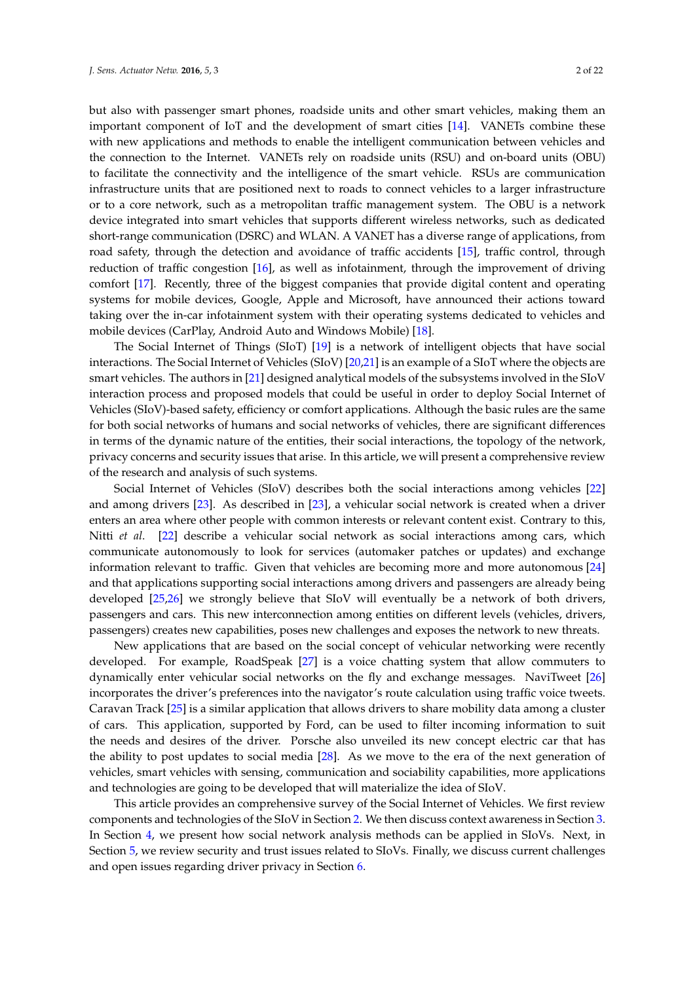but also with passenger smart phones, roadside units and other smart vehicles, making them an important component of IoT and the development of smart cities [\[14\]](#page-15-13). VANETs combine these with new applications and methods to enable the intelligent communication between vehicles and the connection to the Internet. VANETs rely on roadside units (RSU) and on-board units (OBU) to facilitate the connectivity and the intelligence of the smart vehicle. RSUs are communication infrastructure units that are positioned next to roads to connect vehicles to a larger infrastructure or to a core network, such as a metropolitan traffic management system. The OBU is a network device integrated into smart vehicles that supports different wireless networks, such as dedicated short-range communication (DSRC) and WLAN. A VANET has a diverse range of applications, from road safety, through the detection and avoidance of traffic accidents [\[15\]](#page-15-14), traffic control, through reduction of traffic congestion [\[16\]](#page-15-15), as well as infotainment, through the improvement of driving comfort [\[17\]](#page-15-16). Recently, three of the biggest companies that provide digital content and operating systems for mobile devices, Google, Apple and Microsoft, have announced their actions toward taking over the in-car infotainment system with their operating systems dedicated to vehicles and mobile devices (CarPlay, Android Auto and Windows Mobile) [\[18\]](#page-15-17).

The Social Internet of Things (SIoT) [\[19\]](#page-15-18) is a network of intelligent objects that have social interactions. The Social Internet of Vehicles (SIoV) [\[20](#page-15-19)[,21\]](#page-15-20) is an example of a SIoT where the objects are smart vehicles. The authors in [\[21\]](#page-15-20) designed analytical models of the subsystems involved in the SIoV interaction process and proposed models that could be useful in order to deploy Social Internet of Vehicles (SIoV)-based safety, efficiency or comfort applications. Although the basic rules are the same for both social networks of humans and social networks of vehicles, there are significant differences in terms of the dynamic nature of the entities, their social interactions, the topology of the network, privacy concerns and security issues that arise. In this article, we will present a comprehensive review of the research and analysis of such systems.

Social Internet of Vehicles (SIoV) describes both the social interactions among vehicles [\[22\]](#page-16-0) and among drivers [\[23\]](#page-16-1). As described in [\[23\]](#page-16-1), a vehicular social network is created when a driver enters an area where other people with common interests or relevant content exist. Contrary to this, Nitti *et al*. [\[22\]](#page-16-0) describe a vehicular social network as social interactions among cars, which communicate autonomously to look for services (automaker patches or updates) and exchange information relevant to traffic. Given that vehicles are becoming more and more autonomous [\[24\]](#page-16-2) and that applications supporting social interactions among drivers and passengers are already being developed [\[25,](#page-16-3)[26\]](#page-16-4) we strongly believe that SIoV will eventually be a network of both drivers, passengers and cars. This new interconnection among entities on different levels (vehicles, drivers, passengers) creates new capabilities, poses new challenges and exposes the network to new threats.

New applications that are based on the social concept of vehicular networking were recently developed. For example, RoadSpeak [\[27\]](#page-16-5) is a voice chatting system that allow commuters to dynamically enter vehicular social networks on the fly and exchange messages. NaviTweet [\[26\]](#page-16-4) incorporates the driver's preferences into the navigator's route calculation using traffic voice tweets. Caravan Track [\[25\]](#page-16-3) is a similar application that allows drivers to share mobility data among a cluster of cars. This application, supported by Ford, can be used to filter incoming information to suit the needs and desires of the driver. Porsche also unveiled its new concept electric car that has the ability to post updates to social media [\[28\]](#page-16-6). As we move to the era of the next generation of vehicles, smart vehicles with sensing, communication and sociability capabilities, more applications and technologies are going to be developed that will materialize the idea of SIoV.

This article provides an comprehensive survey of the Social Internet of Vehicles. We first review components and technologies of the SIoV in Section [2.](#page-2-0) We then discuss context awareness in Section [3.](#page-4-0) In Section [4,](#page-5-0) we present how social network analysis methods can be applied in SIoVs. Next, in Section [5,](#page-8-0) we review security and trust issues related to SIoVs. Finally, we discuss current challenges and open issues regarding driver privacy in Section [6.](#page-12-0)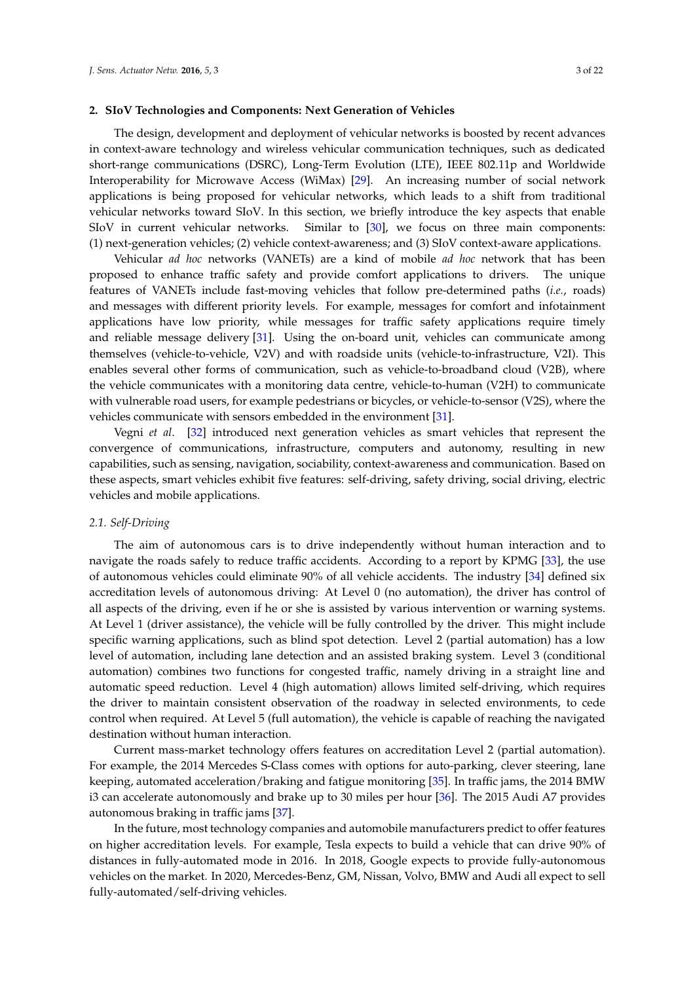### <span id="page-2-0"></span>**2. SIoV Technologies and Components: Next Generation of Vehicles**

The design, development and deployment of vehicular networks is boosted by recent advances in context-aware technology and wireless vehicular communication techniques, such as dedicated short-range communications (DSRC), Long-Term Evolution (LTE), IEEE 802.11p and Worldwide Interoperability for Microwave Access (WiMax) [\[29\]](#page-16-7). An increasing number of social network applications is being proposed for vehicular networks, which leads to a shift from traditional vehicular networks toward SIoV. In this section, we briefly introduce the key aspects that enable SIoV in current vehicular networks. Similar to [\[30\]](#page-16-8), we focus on three main components: (1) next-generation vehicles; (2) vehicle context-awareness; and (3) SIoV context-aware applications.

Vehicular *ad hoc* networks (VANETs) are a kind of mobile *ad hoc* network that has been proposed to enhance traffic safety and provide comfort applications to drivers. The unique features of VANETs include fast-moving vehicles that follow pre-determined paths (*i.e.*, roads) and messages with different priority levels. For example, messages for comfort and infotainment applications have low priority, while messages for traffic safety applications require timely and reliable message delivery [\[31\]](#page-16-9). Using the on-board unit, vehicles can communicate among themselves (vehicle-to-vehicle, V2V) and with roadside units (vehicle-to-infrastructure, V2I). This enables several other forms of communication, such as vehicle-to-broadband cloud (V2B), where the vehicle communicates with a monitoring data centre, vehicle-to-human (V2H) to communicate with vulnerable road users, for example pedestrians or bicycles, or vehicle-to-sensor (V2S), where the vehicles communicate with sensors embedded in the environment [\[31\]](#page-16-9).

Vegni *et al*. [\[32\]](#page-16-10) introduced next generation vehicles as smart vehicles that represent the convergence of communications, infrastructure, computers and autonomy, resulting in new capabilities, such as sensing, navigation, sociability, context-awareness and communication. Based on these aspects, smart vehicles exhibit five features: self-driving, safety driving, social driving, electric vehicles and mobile applications.

### *2.1. Self-Driving*

The aim of autonomous cars is to drive independently without human interaction and to navigate the roads safely to reduce traffic accidents. According to a report by KPMG [\[33\]](#page-16-11), the use of autonomous vehicles could eliminate 90% of all vehicle accidents. The industry [\[34\]](#page-16-12) defined six accreditation levels of autonomous driving: At Level 0 (no automation), the driver has control of all aspects of the driving, even if he or she is assisted by various intervention or warning systems. At Level 1 (driver assistance), the vehicle will be fully controlled by the driver. This might include specific warning applications, such as blind spot detection. Level 2 (partial automation) has a low level of automation, including lane detection and an assisted braking system. Level 3 (conditional automation) combines two functions for congested traffic, namely driving in a straight line and automatic speed reduction. Level 4 (high automation) allows limited self-driving, which requires the driver to maintain consistent observation of the roadway in selected environments, to cede control when required. At Level 5 (full automation), the vehicle is capable of reaching the navigated destination without human interaction.

Current mass-market technology offers features on accreditation Level 2 (partial automation). For example, the 2014 Mercedes S-Class comes with options for auto-parking, clever steering, lane keeping, automated acceleration/braking and fatigue monitoring [\[35\]](#page-16-13). In traffic jams, the 2014 BMW i3 can accelerate autonomously and brake up to 30 miles per hour [\[36\]](#page-16-14). The 2015 Audi A7 provides autonomous braking in traffic jams [\[37\]](#page-16-15).

In the future, most technology companies and automobile manufacturers predict to offer features on higher accreditation levels. For example, Tesla expects to build a vehicle that can drive 90% of distances in fully-automated mode in 2016. In 2018, Google expects to provide fully-autonomous vehicles on the market. In 2020, Mercedes-Benz, GM, Nissan, Volvo, BMW and Audi all expect to sell fully-automated/self-driving vehicles.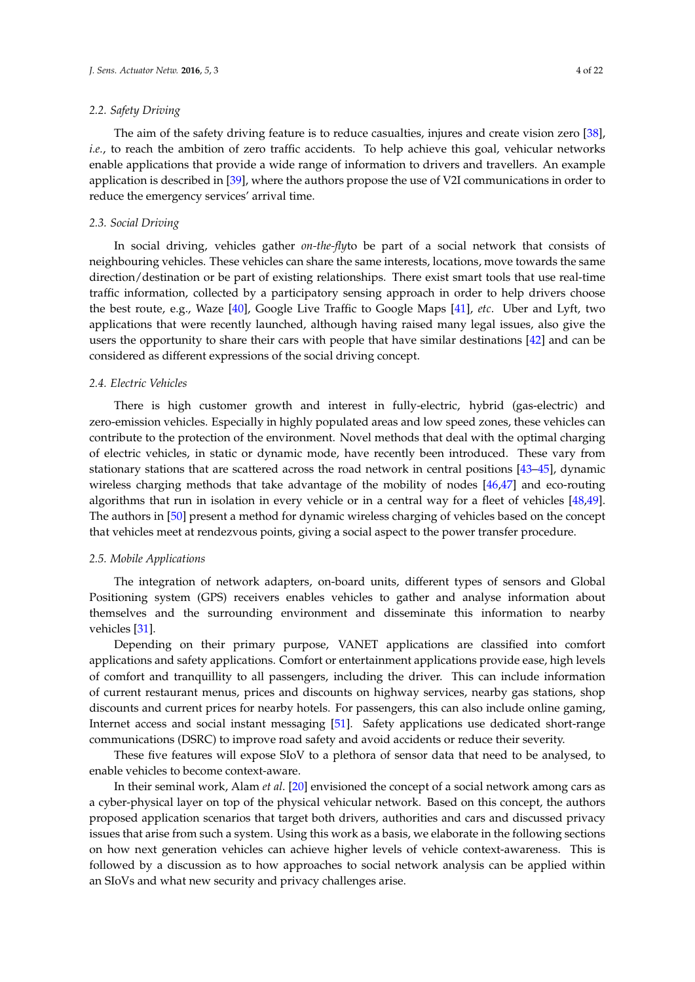# *2.2. Safety Driving*

The aim of the safety driving feature is to reduce casualties, injures and create vision zero [\[38\]](#page-16-16), *i.e.*, to reach the ambition of zero traffic accidents. To help achieve this goal, vehicular networks enable applications that provide a wide range of information to drivers and travellers. An example application is described in [\[39\]](#page-16-17), where the authors propose the use of V2I communications in order to reduce the emergency services' arrival time.

# *2.3. Social Driving*

In social driving, vehicles gather *on-the-fly*to be part of a social network that consists of neighbouring vehicles. These vehicles can share the same interests, locations, move towards the same direction/destination or be part of existing relationships. There exist smart tools that use real-time traffic information, collected by a participatory sensing approach in order to help drivers choose the best route, e.g., Waze [\[40\]](#page-16-18), Google Live Traffic to Google Maps [\[41\]](#page-16-19), *etc*. Uber and Lyft, two applications that were recently launched, although having raised many legal issues, also give the users the opportunity to share their cars with people that have similar destinations [\[42\]](#page-16-20) and can be considered as different expressions of the social driving concept.

### *2.4. Electric Vehicles*

There is high customer growth and interest in fully-electric, hybrid (gas-electric) and zero-emission vehicles. Especially in highly populated areas and low speed zones, these vehicles can contribute to the protection of the environment. Novel methods that deal with the optimal charging of electric vehicles, in static or dynamic mode, have recently been introduced. These vary from stationary stations that are scattered across the road network in central positions [\[43–](#page-16-21)[45\]](#page-17-0), dynamic wireless charging methods that take advantage of the mobility of nodes [\[46](#page-17-1)[,47\]](#page-17-2) and eco-routing algorithms that run in isolation in every vehicle or in a central way for a fleet of vehicles [\[48](#page-17-3)[,49\]](#page-17-4). The authors in [\[50\]](#page-17-5) present a method for dynamic wireless charging of vehicles based on the concept that vehicles meet at rendezvous points, giving a social aspect to the power transfer procedure.

### *2.5. Mobile Applications*

The integration of network adapters, on-board units, different types of sensors and Global Positioning system (GPS) receivers enables vehicles to gather and analyse information about themselves and the surrounding environment and disseminate this information to nearby vehicles [\[31\]](#page-16-9).

Depending on their primary purpose, VANET applications are classified into comfort applications and safety applications. Comfort or entertainment applications provide ease, high levels of comfort and tranquillity to all passengers, including the driver. This can include information of current restaurant menus, prices and discounts on highway services, nearby gas stations, shop discounts and current prices for nearby hotels. For passengers, this can also include online gaming, Internet access and social instant messaging [\[51\]](#page-17-6). Safety applications use dedicated short-range communications (DSRC) to improve road safety and avoid accidents or reduce their severity.

These five features will expose SIoV to a plethora of sensor data that need to be analysed, to enable vehicles to become context-aware.

In their seminal work, Alam *et al*. [\[20\]](#page-15-19) envisioned the concept of a social network among cars as a cyber-physical layer on top of the physical vehicular network. Based on this concept, the authors proposed application scenarios that target both drivers, authorities and cars and discussed privacy issues that arise from such a system. Using this work as a basis, we elaborate in the following sections on how next generation vehicles can achieve higher levels of vehicle context-awareness. This is followed by a discussion as to how approaches to social network analysis can be applied within an SIoVs and what new security and privacy challenges arise.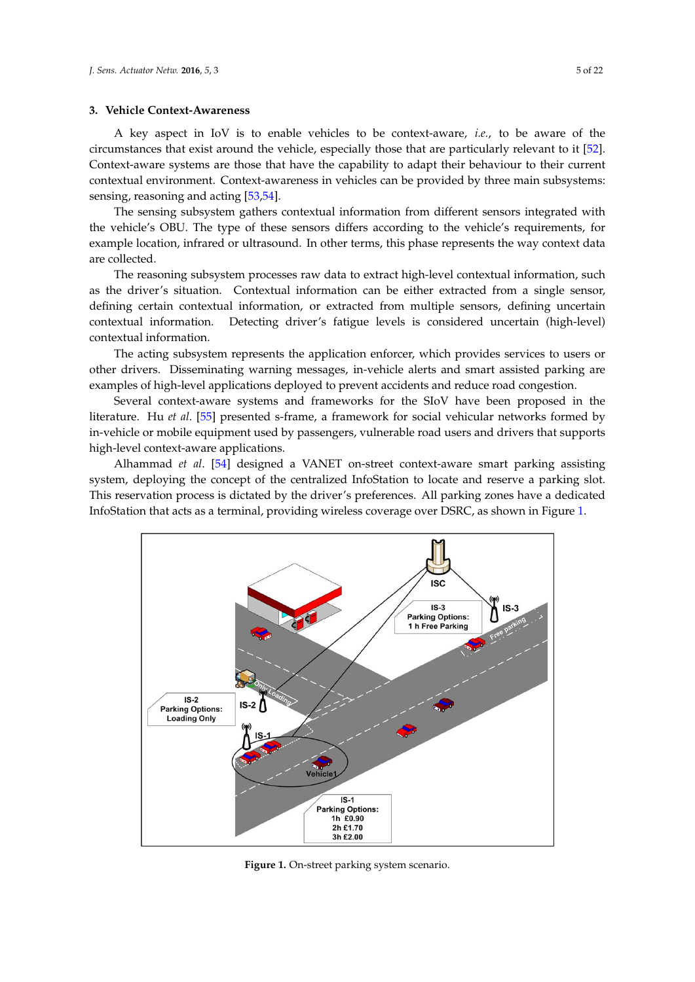# <span id="page-4-0"></span>**3. Vehicle Context-Awareness**

A key aspect in IoV is to enable vehicles to be context-aware, *i.e.*, to be aware of the circumstances that exist around the vehicle, especially those that are particularly relevant to it [\[52\]](#page-17-7). Context-aware systems are those that have the capability to adapt their behaviour to their current contextual environment. Context-awareness in vehicles can be provided by three main subsystems: sensing, reasoning and acting [\[53](#page-17-8)[,54\]](#page-17-9).

The sensing subsystem gathers contextual information from different sensors integrated with the vehicle's OBU. The type of these sensors differs according to the vehicle's requirements, for example location, infrared or ultrasound. In other terms, this phase represents the way context data are collected.

The reasoning subsystem processes raw data to extract high-level contextual information, such as the driver's situation. Contextual information can be either extracted from a single sensor, defining certain contextual information, or extracted from multiple sensors, defining uncertain contextual information. Detecting driver's fatigue levels is considered uncertain (high-level) contextual information.

The acting subsystem represents the application enforcer, which provides services to users or other drivers. Disseminating warning messages, in-vehicle alerts and smart assisted parking are examples of high-level applications deployed to prevent accidents and reduce road congestion.

Several context-aware systems and frameworks for the SIoV have been proposed in the literature. Hu *et al*. [\[55\]](#page-17-10) presented s-frame, a framework for social vehicular networks formed by in-vehicle or mobile equipment used by passengers, vulnerable road users and drivers that supports high-level context-aware applications.

Alhammad *et al*. [\[54\]](#page-17-9) designed a VANET on-street context-aware smart parking assisting system, deploying the concept of the centralized InfoStation to locate and reserve a parking slot. This reservation process is dictated by the driver's preferences. All parking zones have a dedicated InfoStation that acts as a terminal, providing wireless coverage over DSRC, as shown in Figure [1.](#page-4-1)

<span id="page-4-1"></span>

**Figure 1.** On-street parking system scenario.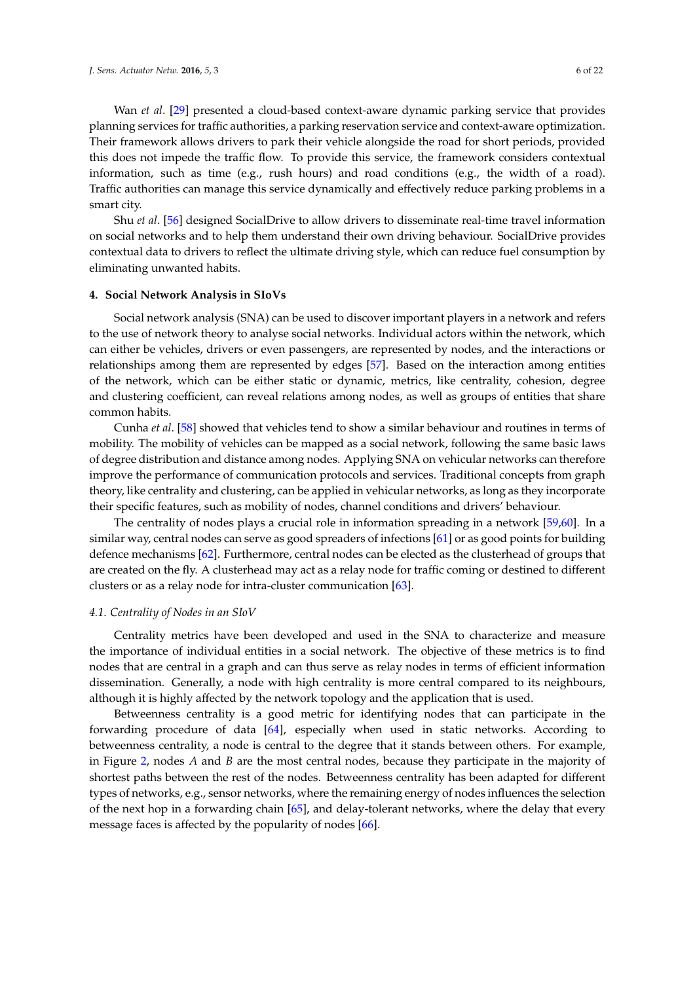Wan *et al*. [\[29\]](#page-16-7) presented a cloud-based context-aware dynamic parking service that provides planning services for traffic authorities, a parking reservation service and context-aware optimization. Their framework allows drivers to park their vehicle alongside the road for short periods, provided this does not impede the traffic flow. To provide this service, the framework considers contextual information, such as time (e.g., rush hours) and road conditions (e.g., the width of a road). Traffic authorities can manage this service dynamically and effectively reduce parking problems in a smart city.

Shu *et al*. [\[56\]](#page-17-11) designed SocialDrive to allow drivers to disseminate real-time travel information on social networks and to help them understand their own driving behaviour. SocialDrive provides contextual data to drivers to reflect the ultimate driving style, which can reduce fuel consumption by eliminating unwanted habits.

#### <span id="page-5-0"></span>**4. Social Network Analysis in SIoVs**

Social network analysis (SNA) can be used to discover important players in a network and refers to the use of network theory to analyse social networks. Individual actors within the network, which can either be vehicles, drivers or even passengers, are represented by nodes, and the interactions or relationships among them are represented by edges [\[57\]](#page-17-12). Based on the interaction among entities of the network, which can be either static or dynamic, metrics, like centrality, cohesion, degree and clustering coefficient, can reveal relations among nodes, as well as groups of entities that share common habits.

Cunha *et al*. [\[58\]](#page-17-13) showed that vehicles tend to show a similar behaviour and routines in terms of mobility. The mobility of vehicles can be mapped as a social network, following the same basic laws of degree distribution and distance among nodes. Applying SNA on vehicular networks can therefore improve the performance of communication protocols and services. Traditional concepts from graph theory, like centrality and clustering, can be applied in vehicular networks, as long as they incorporate their specific features, such as mobility of nodes, channel conditions and drivers' behaviour.

The centrality of nodes plays a crucial role in information spreading in a network [\[59](#page-17-14)[,60\]](#page-17-15). In a similar way, central nodes can serve as good spreaders of infections [\[61\]](#page-17-16) or as good points for building defence mechanisms [\[62\]](#page-17-17). Furthermore, central nodes can be elected as the clusterhead of groups that are created on the fly. A clusterhead may act as a relay node for traffic coming or destined to different clusters or as a relay node for intra-cluster communication [\[63\]](#page-17-18).

### *4.1. Centrality of Nodes in an SIoV*

Centrality metrics have been developed and used in the SNA to characterize and measure the importance of individual entities in a social network. The objective of these metrics is to find nodes that are central in a graph and can thus serve as relay nodes in terms of efficient information dissemination. Generally, a node with high centrality is more central compared to its neighbours, although it is highly affected by the network topology and the application that is used.

Betweenness centrality is a good metric for identifying nodes that can participate in the forwarding procedure of data [\[64\]](#page-17-19), especially when used in static networks. According to betweenness centrality, a node is central to the degree that it stands between others. For example, in Figure [2,](#page-6-0) nodes *A* and *B* are the most central nodes, because they participate in the majority of shortest paths between the rest of the nodes. Betweenness centrality has been adapted for different types of networks, e.g., sensor networks, where the remaining energy of nodes influences the selection of the next hop in a forwarding chain [\[65\]](#page-18-0), and delay-tolerant networks, where the delay that every message faces is affected by the popularity of nodes [\[66\]](#page-18-1).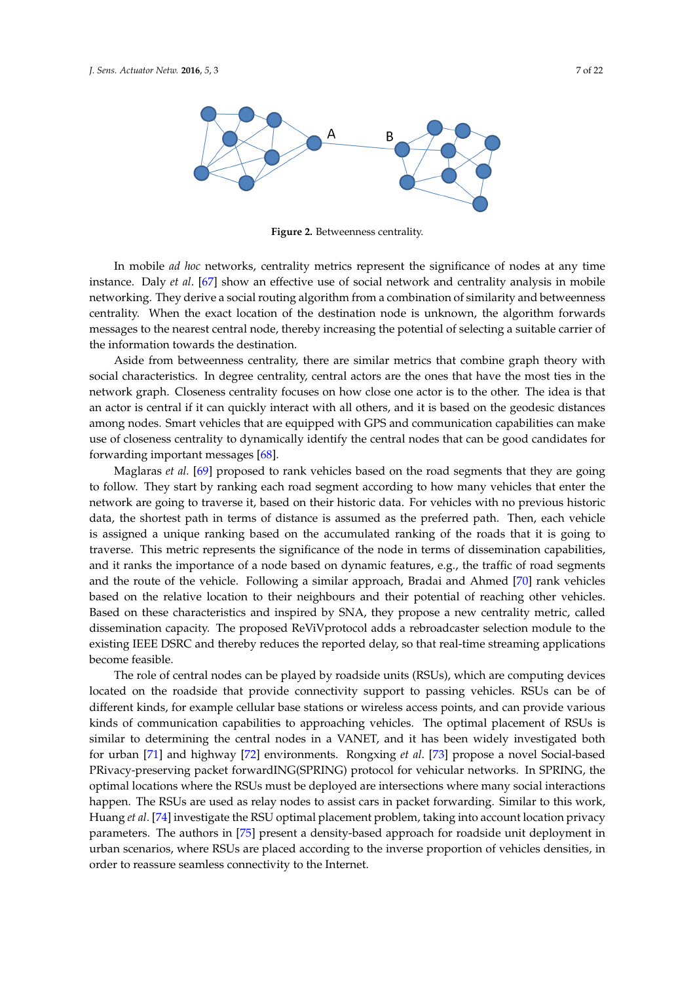<span id="page-6-0"></span>

**Figure 2.** Betweenness centrality.

In mobile *ad hoc* networks, centrality metrics represent the significance of nodes at any time instance. Daly *et al*. [\[67\]](#page-18-2) show an effective use of social network and centrality analysis in mobile networking. They derive a social routing algorithm from a combination of similarity and betweenness centrality. When the exact location of the destination node is unknown, the algorithm forwards messages to the nearest central node, thereby increasing the potential of selecting a suitable carrier of the information towards the destination.

Aside from betweenness centrality, there are similar metrics that combine graph theory with social characteristics. In degree centrality, central actors are the ones that have the most ties in the network graph. Closeness centrality focuses on how close one actor is to the other. The idea is that an actor is central if it can quickly interact with all others, and it is based on the geodesic distances among nodes. Smart vehicles that are equipped with GPS and communication capabilities can make use of closeness centrality to dynamically identify the central nodes that can be good candidates for forwarding important messages [\[68\]](#page-18-3).

Maglaras *et al.* [\[69\]](#page-18-4) proposed to rank vehicles based on the road segments that they are going to follow. They start by ranking each road segment according to how many vehicles that enter the network are going to traverse it, based on their historic data. For vehicles with no previous historic data, the shortest path in terms of distance is assumed as the preferred path. Then, each vehicle is assigned a unique ranking based on the accumulated ranking of the roads that it is going to traverse. This metric represents the significance of the node in terms of dissemination capabilities, and it ranks the importance of a node based on dynamic features, e.g., the traffic of road segments and the route of the vehicle. Following a similar approach, Bradai and Ahmed [\[70\]](#page-18-5) rank vehicles based on the relative location to their neighbours and their potential of reaching other vehicles. Based on these characteristics and inspired by SNA, they propose a new centrality metric, called dissemination capacity. The proposed ReViVprotocol adds a rebroadcaster selection module to the existing IEEE DSRC and thereby reduces the reported delay, so that real-time streaming applications become feasible.

The role of central nodes can be played by roadside units (RSUs), which are computing devices located on the roadside that provide connectivity support to passing vehicles. RSUs can be of different kinds, for example cellular base stations or wireless access points, and can provide various kinds of communication capabilities to approaching vehicles. The optimal placement of RSUs is similar to determining the central nodes in a VANET, and it has been widely investigated both for urban [\[71\]](#page-18-6) and highway [\[72\]](#page-18-7) environments. Rongxing *et al*. [\[73\]](#page-18-8) propose a novel Social-based PRivacy-preserving packet forwardING(SPRING) protocol for vehicular networks. In SPRING, the optimal locations where the RSUs must be deployed are intersections where many social interactions happen. The RSUs are used as relay nodes to assist cars in packet forwarding. Similar to this work, Huang *et al*. [\[74\]](#page-18-9) investigate the RSU optimal placement problem, taking into account location privacy parameters. The authors in [\[75\]](#page-18-10) present a density-based approach for roadside unit deployment in urban scenarios, where RSUs are placed according to the inverse proportion of vehicles densities, in order to reassure seamless connectivity to the Internet.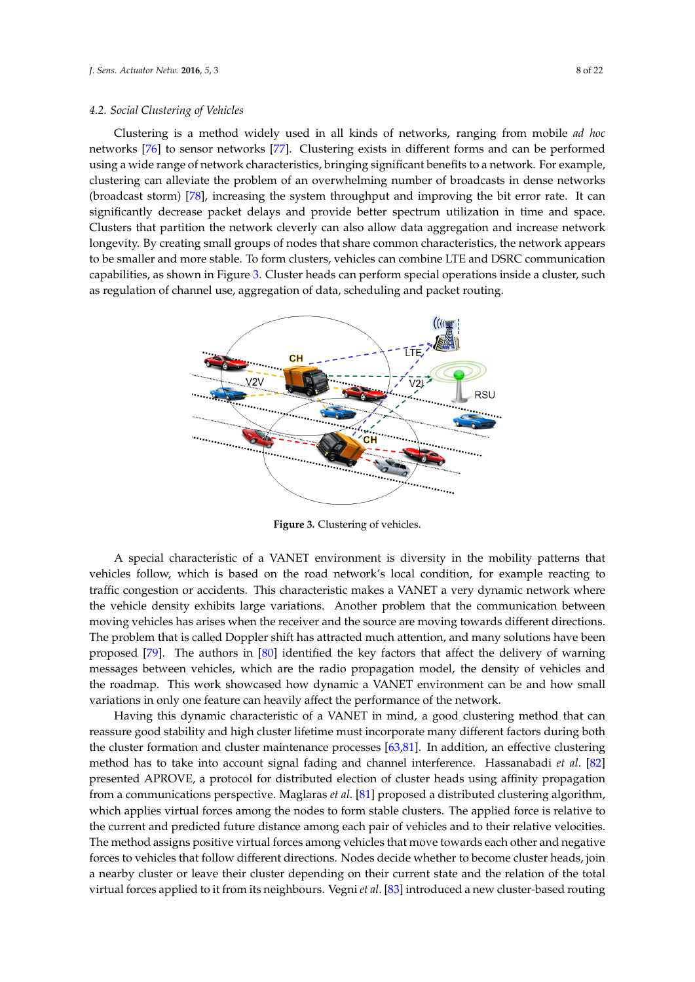### *4.2. Social Clustering of Vehicles*

Clustering is a method widely used in all kinds of networks, ranging from mobile *ad hoc* networks [\[76\]](#page-18-11) to sensor networks [\[77\]](#page-18-12). Clustering exists in different forms and can be performed using a wide range of network characteristics, bringing significant benefits to a network. For example, clustering can alleviate the problem of an overwhelming number of broadcasts in dense networks (broadcast storm) [\[78\]](#page-18-13), increasing the system throughput and improving the bit error rate. It can significantly decrease packet delays and provide better spectrum utilization in time and space. Clusters that partition the network cleverly can also allow data aggregation and increase network longevity. By creating small groups of nodes that share common characteristics, the network appears to be smaller and more stable. To form clusters, vehicles can combine LTE and DSRC communication capabilities, as shown in Figure [3.](#page-7-0) Cluster heads can perform special operations inside a cluster, such as regulation of channel use, aggregation of data, scheduling and packet routing.

<span id="page-7-0"></span>

**Figure 3.** Clustering of vehicles.

A special characteristic of a VANET environment is diversity in the mobility patterns that vehicles follow, which is based on the road network's local condition, for example reacting to traffic congestion or accidents. This characteristic makes a VANET a very dynamic network where the vehicle density exhibits large variations. Another problem that the communication between moving vehicles has arises when the receiver and the source are moving towards different directions. The problem that is called Doppler shift has attracted much attention, and many solutions have been proposed [\[79\]](#page-18-14). The authors in [\[80\]](#page-18-15) identified the key factors that affect the delivery of warning messages between vehicles, which are the radio propagation model, the density of vehicles and the roadmap. This work showcased how dynamic a VANET environment can be and how small variations in only one feature can heavily affect the performance of the network.

Having this dynamic characteristic of a VANET in mind, a good clustering method that can reassure good stability and high cluster lifetime must incorporate many different factors during both the cluster formation and cluster maintenance processes [\[63](#page-17-18)[,81\]](#page-18-16). In addition, an effective clustering method has to take into account signal fading and channel interference. Hassanabadi *et al*. [\[82\]](#page-18-17) presented APROVE, a protocol for distributed election of cluster heads using affinity propagation from a communications perspective. Maglaras *et al*. [\[81\]](#page-18-16) proposed a distributed clustering algorithm, which applies virtual forces among the nodes to form stable clusters. The applied force is relative to the current and predicted future distance among each pair of vehicles and to their relative velocities. The method assigns positive virtual forces among vehicles that move towards each other and negative forces to vehicles that follow different directions. Nodes decide whether to become cluster heads, join a nearby cluster or leave their cluster depending on their current state and the relation of the total virtual forces applied to it from its neighbours. Vegni *et al*. [\[83\]](#page-18-18) introduced a new cluster-based routing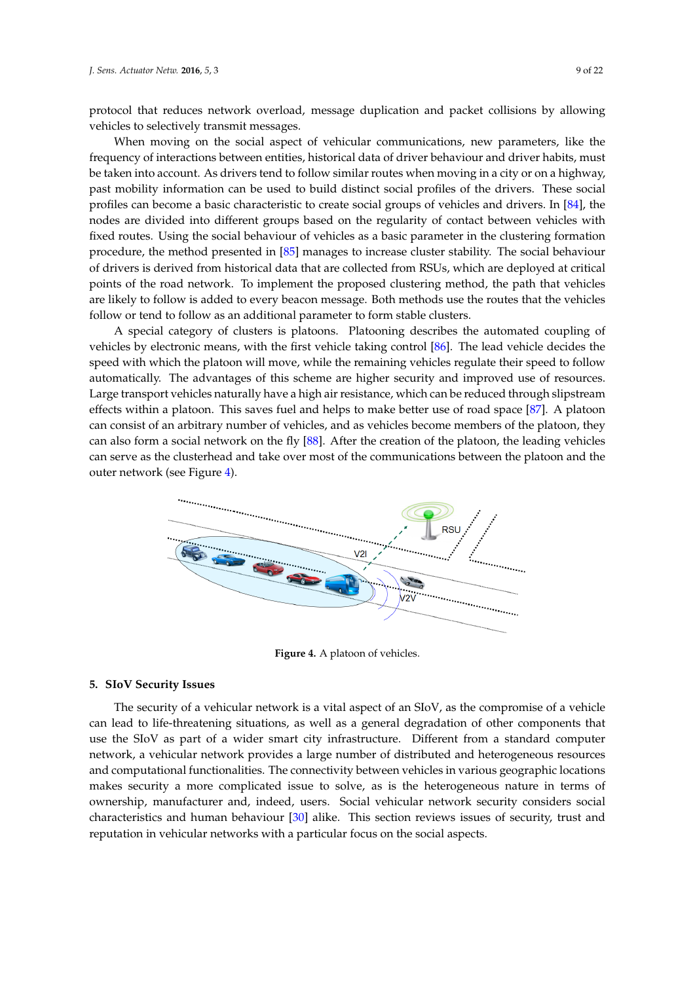protocol that reduces network overload, message duplication and packet collisions by allowing vehicles to selectively transmit messages.

When moving on the social aspect of vehicular communications, new parameters, like the frequency of interactions between entities, historical data of driver behaviour and driver habits, must be taken into account. As drivers tend to follow similar routes when moving in a city or on a highway, past mobility information can be used to build distinct social profiles of the drivers. These social profiles can become a basic characteristic to create social groups of vehicles and drivers. In [\[84\]](#page-18-19), the nodes are divided into different groups based on the regularity of contact between vehicles with fixed routes. Using the social behaviour of vehicles as a basic parameter in the clustering formation procedure, the method presented in [\[85\]](#page-19-0) manages to increase cluster stability. The social behaviour of drivers is derived from historical data that are collected from RSUs, which are deployed at critical points of the road network. To implement the proposed clustering method, the path that vehicles are likely to follow is added to every beacon message. Both methods use the routes that the vehicles follow or tend to follow as an additional parameter to form stable clusters.

A special category of clusters is platoons. Platooning describes the automated coupling of vehicles by electronic means, with the first vehicle taking control [\[86\]](#page-19-1). The lead vehicle decides the speed with which the platoon will move, while the remaining vehicles regulate their speed to follow automatically. The advantages of this scheme are higher security and improved use of resources. Large transport vehicles naturally have a high air resistance, which can be reduced through slipstream effects within a platoon. This saves fuel and helps to make better use of road space [\[87\]](#page-19-2). A platoon can consist of an arbitrary number of vehicles, and as vehicles become members of the platoon, they can also form a social network on the fly [\[88\]](#page-19-3). After the creation of the platoon, the leading vehicles can serve as the clusterhead and take over most of the communications between the platoon and the outer network (see Figure [4\)](#page-8-1).

<span id="page-8-1"></span>

**Figure 4.** A platoon of vehicles.

### <span id="page-8-0"></span>**5. SIoV Security Issues**

The security of a vehicular network is a vital aspect of an SIoV, as the compromise of a vehicle can lead to life-threatening situations, as well as a general degradation of other components that use the SIoV as part of a wider smart city infrastructure. Different from a standard computer network, a vehicular network provides a large number of distributed and heterogeneous resources and computational functionalities. The connectivity between vehicles in various geographic locations makes security a more complicated issue to solve, as is the heterogeneous nature in terms of ownership, manufacturer and, indeed, users. Social vehicular network security considers social characteristics and human behaviour [\[30\]](#page-16-8) alike. This section reviews issues of security, trust and reputation in vehicular networks with a particular focus on the social aspects.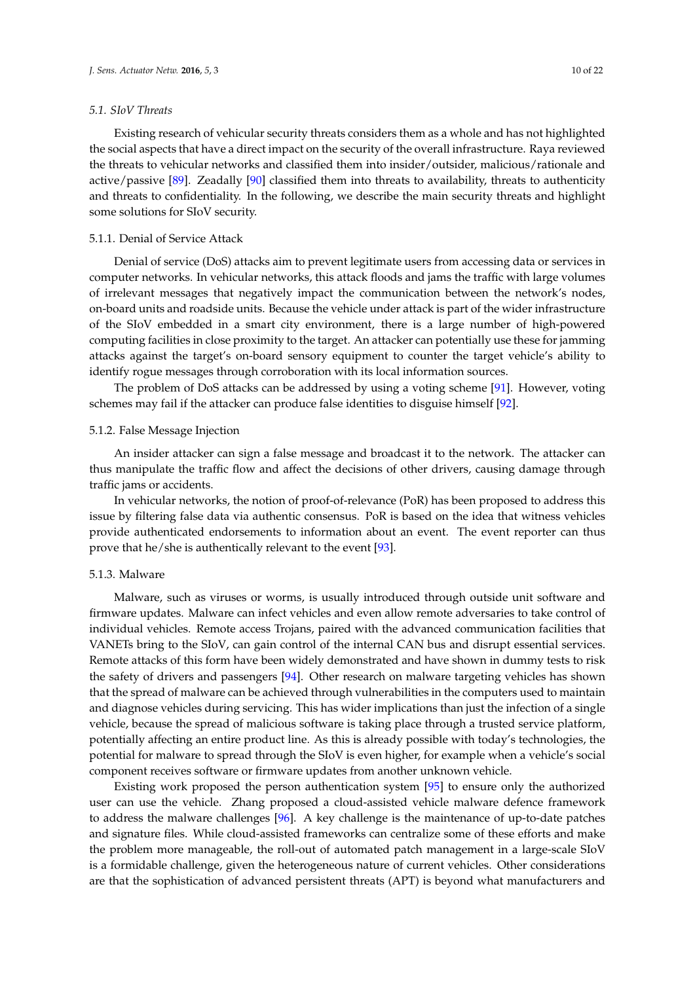#### *5.1. SIoV Threats*

Existing research of vehicular security threats considers them as a whole and has not highlighted the social aspects that have a direct impact on the security of the overall infrastructure. Raya reviewed the threats to vehicular networks and classified them into insider/outsider, malicious/rationale and active/passive [\[89\]](#page-19-4). Zeadally [\[90\]](#page-19-5) classified them into threats to availability, threats to authenticity and threats to confidentiality. In the following, we describe the main security threats and highlight some solutions for SIoV security.

### 5.1.1. Denial of Service Attack

Denial of service (DoS) attacks aim to prevent legitimate users from accessing data or services in computer networks. In vehicular networks, this attack floods and jams the traffic with large volumes of irrelevant messages that negatively impact the communication between the network's nodes, on-board units and roadside units. Because the vehicle under attack is part of the wider infrastructure of the SIoV embedded in a smart city environment, there is a large number of high-powered computing facilities in close proximity to the target. An attacker can potentially use these for jamming attacks against the target's on-board sensory equipment to counter the target vehicle's ability to identify rogue messages through corroboration with its local information sources.

The problem of DoS attacks can be addressed by using a voting scheme [\[91\]](#page-19-6). However, voting schemes may fail if the attacker can produce false identities to disguise himself [\[92\]](#page-19-7).

#### 5.1.2. False Message Injection

An insider attacker can sign a false message and broadcast it to the network. The attacker can thus manipulate the traffic flow and affect the decisions of other drivers, causing damage through traffic jams or accidents.

In vehicular networks, the notion of proof-of-relevance (PoR) has been proposed to address this issue by filtering false data via authentic consensus. PoR is based on the idea that witness vehicles provide authenticated endorsements to information about an event. The event reporter can thus prove that he/she is authentically relevant to the event [\[93\]](#page-19-8).

#### 5.1.3. Malware

Malware, such as viruses or worms, is usually introduced through outside unit software and firmware updates. Malware can infect vehicles and even allow remote adversaries to take control of individual vehicles. Remote access Trojans, paired with the advanced communication facilities that VANETs bring to the SIoV, can gain control of the internal CAN bus and disrupt essential services. Remote attacks of this form have been widely demonstrated and have shown in dummy tests to risk the safety of drivers and passengers [\[94\]](#page-19-9). Other research on malware targeting vehicles has shown that the spread of malware can be achieved through vulnerabilities in the computers used to maintain and diagnose vehicles during servicing. This has wider implications than just the infection of a single vehicle, because the spread of malicious software is taking place through a trusted service platform, potentially affecting an entire product line. As this is already possible with today's technologies, the potential for malware to spread through the SIoV is even higher, for example when a vehicle's social component receives software or firmware updates from another unknown vehicle.

Existing work proposed the person authentication system [\[95\]](#page-19-10) to ensure only the authorized user can use the vehicle. Zhang proposed a cloud-assisted vehicle malware defence framework to address the malware challenges [\[96\]](#page-19-11). A key challenge is the maintenance of up-to-date patches and signature files. While cloud-assisted frameworks can centralize some of these efforts and make the problem more manageable, the roll-out of automated patch management in a large-scale SIoV is a formidable challenge, given the heterogeneous nature of current vehicles. Other considerations are that the sophistication of advanced persistent threats (APT) is beyond what manufacturers and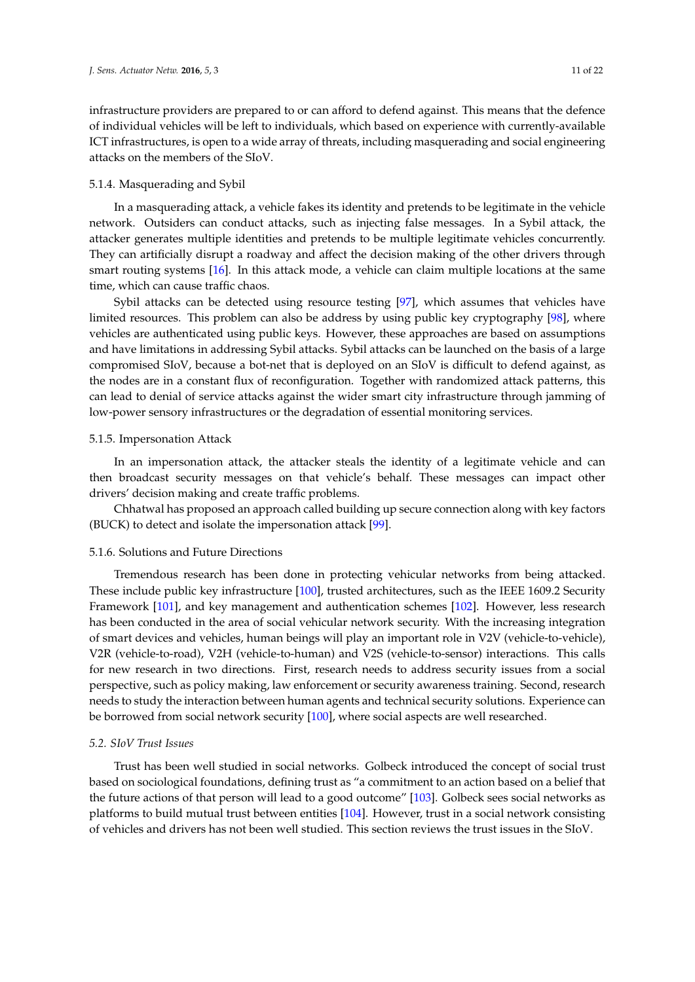infrastructure providers are prepared to or can afford to defend against. This means that the defence of individual vehicles will be left to individuals, which based on experience with currently-available ICT infrastructures, is open to a wide array of threats, including masquerading and social engineering attacks on the members of the SIoV.

# 5.1.4. Masquerading and Sybil

In a masquerading attack, a vehicle fakes its identity and pretends to be legitimate in the vehicle network. Outsiders can conduct attacks, such as injecting false messages. In a Sybil attack, the attacker generates multiple identities and pretends to be multiple legitimate vehicles concurrently. They can artificially disrupt a roadway and affect the decision making of the other drivers through smart routing systems [\[16\]](#page-15-15). In this attack mode, a vehicle can claim multiple locations at the same time, which can cause traffic chaos.

Sybil attacks can be detected using resource testing [\[97\]](#page-19-12), which assumes that vehicles have limited resources. This problem can also be address by using public key cryptography [\[98\]](#page-19-13), where vehicles are authenticated using public keys. However, these approaches are based on assumptions and have limitations in addressing Sybil attacks. Sybil attacks can be launched on the basis of a large compromised SIoV, because a bot-net that is deployed on an SIoV is difficult to defend against, as the nodes are in a constant flux of reconfiguration. Together with randomized attack patterns, this can lead to denial of service attacks against the wider smart city infrastructure through jamming of low-power sensory infrastructures or the degradation of essential monitoring services.

# 5.1.5. Impersonation Attack

In an impersonation attack, the attacker steals the identity of a legitimate vehicle and can then broadcast security messages on that vehicle's behalf. These messages can impact other drivers' decision making and create traffic problems.

Chhatwal has proposed an approach called building up secure connection along with key factors (BUCK) to detect and isolate the impersonation attack [\[99\]](#page-19-14).

# 5.1.6. Solutions and Future Directions

Tremendous research has been done in protecting vehicular networks from being attacked. These include public key infrastructure [\[100\]](#page-19-15), trusted architectures, such as the IEEE 1609.2 Security Framework [\[101\]](#page-19-16), and key management and authentication schemes [\[102\]](#page-19-17). However, less research has been conducted in the area of social vehicular network security. With the increasing integration of smart devices and vehicles, human beings will play an important role in V2V (vehicle-to-vehicle), V2R (vehicle-to-road), V2H (vehicle-to-human) and V2S (vehicle-to-sensor) interactions. This calls for new research in two directions. First, research needs to address security issues from a social perspective, such as policy making, law enforcement or security awareness training. Second, research needs to study the interaction between human agents and technical security solutions. Experience can be borrowed from social network security [\[100\]](#page-19-15), where social aspects are well researched.

# *5.2. SIoV Trust Issues*

Trust has been well studied in social networks. Golbeck introduced the concept of social trust based on sociological foundations, defining trust as "a commitment to an action based on a belief that the future actions of that person will lead to a good outcome" [\[103\]](#page-19-18). Golbeck sees social networks as platforms to build mutual trust between entities [\[104\]](#page-19-19). However, trust in a social network consisting of vehicles and drivers has not been well studied. This section reviews the trust issues in the SIoV.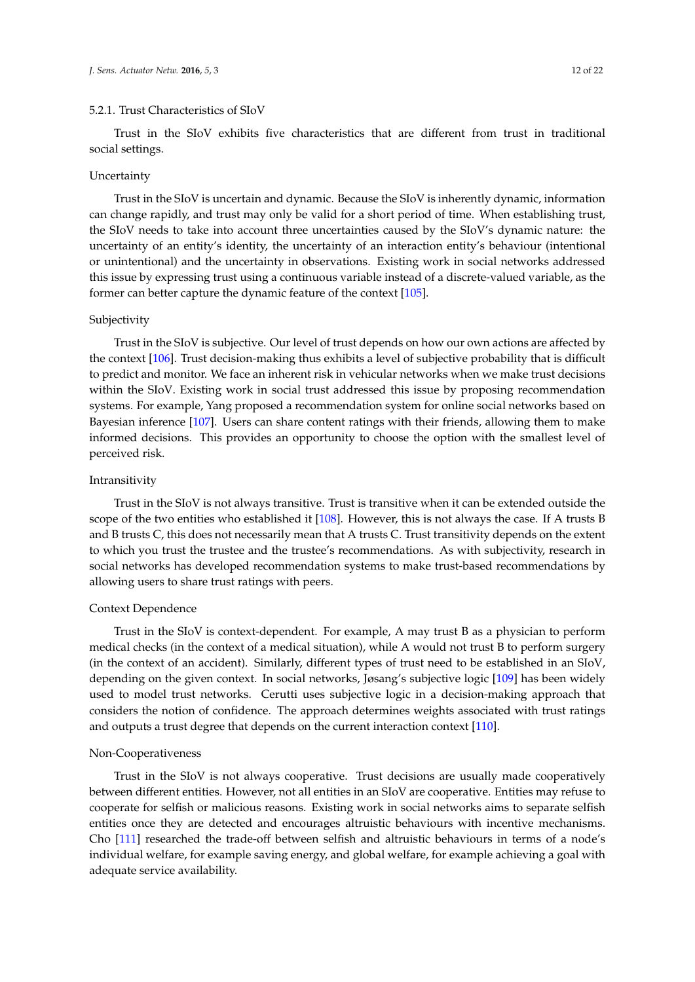Trust in the SIoV exhibits five characteristics that are different from trust in traditional social settings.

### Uncertainty

Trust in the SIoV is uncertain and dynamic. Because the SIoV is inherently dynamic, information can change rapidly, and trust may only be valid for a short period of time. When establishing trust, the SIoV needs to take into account three uncertainties caused by the SIoV's dynamic nature: the uncertainty of an entity's identity, the uncertainty of an interaction entity's behaviour (intentional or unintentional) and the uncertainty in observations. Existing work in social networks addressed this issue by expressing trust using a continuous variable instead of a discrete-valued variable, as the former can better capture the dynamic feature of the context [\[105\]](#page-19-20).

# Subjectivity

Trust in the SIoV is subjective. Our level of trust depends on how our own actions are affected by the context [\[106\]](#page-19-21). Trust decision-making thus exhibits a level of subjective probability that is difficult to predict and monitor. We face an inherent risk in vehicular networks when we make trust decisions within the SIoV. Existing work in social trust addressed this issue by proposing recommendation systems. For example, Yang proposed a recommendation system for online social networks based on Bayesian inference [\[107\]](#page-19-22). Users can share content ratings with their friends, allowing them to make informed decisions. This provides an opportunity to choose the option with the smallest level of perceived risk.

# Intransitivity

Trust in the SIoV is not always transitive. Trust is transitive when it can be extended outside the scope of the two entities who established it [\[108\]](#page-20-0). However, this is not always the case. If A trusts B and B trusts C, this does not necessarily mean that A trusts C. Trust transitivity depends on the extent to which you trust the trustee and the trustee's recommendations. As with subjectivity, research in social networks has developed recommendation systems to make trust-based recommendations by allowing users to share trust ratings with peers.

### Context Dependence

Trust in the SIoV is context-dependent. For example, A may trust B as a physician to perform medical checks (in the context of a medical situation), while A would not trust B to perform surgery (in the context of an accident). Similarly, different types of trust need to be established in an SIoV, depending on the given context. In social networks, Jøsang's subjective logic [\[109\]](#page-20-1) has been widely used to model trust networks. Cerutti uses subjective logic in a decision-making approach that considers the notion of confidence. The approach determines weights associated with trust ratings and outputs a trust degree that depends on the current interaction context [\[110\]](#page-20-2).

#### Non-Cooperativeness

Trust in the SIoV is not always cooperative. Trust decisions are usually made cooperatively between different entities. However, not all entities in an SIoV are cooperative. Entities may refuse to cooperate for selfish or malicious reasons. Existing work in social networks aims to separate selfish entities once they are detected and encourages altruistic behaviours with incentive mechanisms. Cho [\[111\]](#page-20-3) researched the trade-off between selfish and altruistic behaviours in terms of a node's individual welfare, for example saving energy, and global welfare, for example achieving a goal with adequate service availability.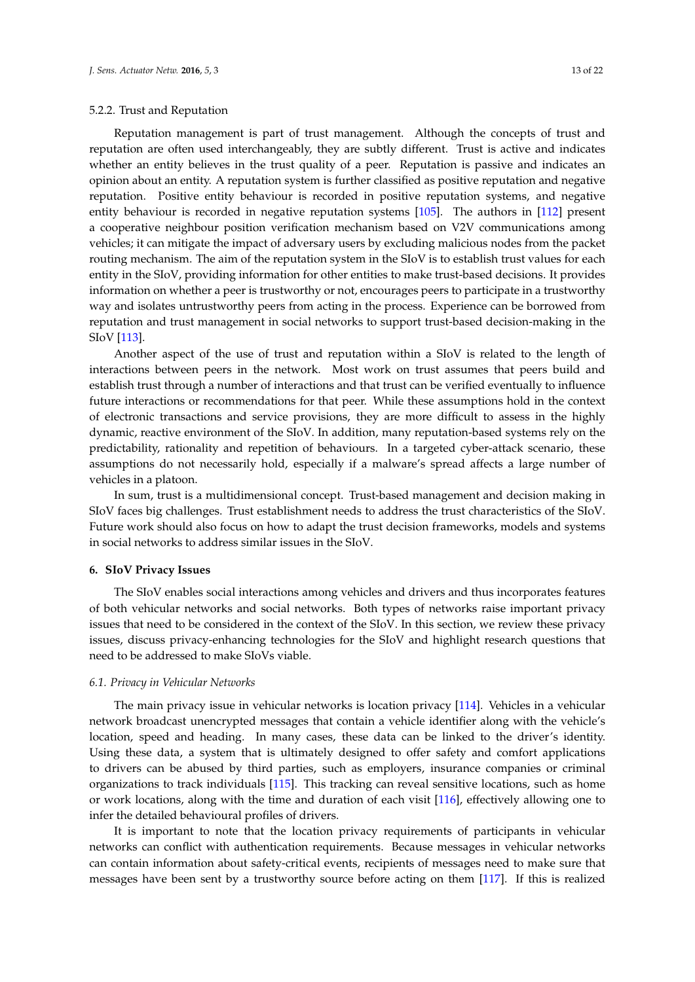# 5.2.2. Trust and Reputation

Reputation management is part of trust management. Although the concepts of trust and reputation are often used interchangeably, they are subtly different. Trust is active and indicates whether an entity believes in the trust quality of a peer. Reputation is passive and indicates an opinion about an entity. A reputation system is further classified as positive reputation and negative reputation. Positive entity behaviour is recorded in positive reputation systems, and negative entity behaviour is recorded in negative reputation systems [\[105\]](#page-19-20). The authors in [\[112\]](#page-20-4) present a cooperative neighbour position verification mechanism based on V2V communications among vehicles; it can mitigate the impact of adversary users by excluding malicious nodes from the packet routing mechanism. The aim of the reputation system in the SIoV is to establish trust values for each entity in the SIoV, providing information for other entities to make trust-based decisions. It provides information on whether a peer is trustworthy or not, encourages peers to participate in a trustworthy way and isolates untrustworthy peers from acting in the process. Experience can be borrowed from reputation and trust management in social networks to support trust-based decision-making in the SIoV [\[113\]](#page-20-5).

Another aspect of the use of trust and reputation within a SIoV is related to the length of interactions between peers in the network. Most work on trust assumes that peers build and establish trust through a number of interactions and that trust can be verified eventually to influence future interactions or recommendations for that peer. While these assumptions hold in the context of electronic transactions and service provisions, they are more difficult to assess in the highly dynamic, reactive environment of the SIoV. In addition, many reputation-based systems rely on the predictability, rationality and repetition of behaviours. In a targeted cyber-attack scenario, these assumptions do not necessarily hold, especially if a malware's spread affects a large number of vehicles in a platoon.

In sum, trust is a multidimensional concept. Trust-based management and decision making in SIoV faces big challenges. Trust establishment needs to address the trust characteristics of the SIoV. Future work should also focus on how to adapt the trust decision frameworks, models and systems in social networks to address similar issues in the SIoV.

# <span id="page-12-0"></span>**6. SIoV Privacy Issues**

The SIoV enables social interactions among vehicles and drivers and thus incorporates features of both vehicular networks and social networks. Both types of networks raise important privacy issues that need to be considered in the context of the SIoV. In this section, we review these privacy issues, discuss privacy-enhancing technologies for the SIoV and highlight research questions that need to be addressed to make SIoVs viable.

### *6.1. Privacy in Vehicular Networks*

The main privacy issue in vehicular networks is location privacy [\[114\]](#page-20-6). Vehicles in a vehicular network broadcast unencrypted messages that contain a vehicle identifier along with the vehicle's location, speed and heading. In many cases, these data can be linked to the driver's identity. Using these data, a system that is ultimately designed to offer safety and comfort applications to drivers can be abused by third parties, such as employers, insurance companies or criminal organizations to track individuals [\[115\]](#page-20-7). This tracking can reveal sensitive locations, such as home or work locations, along with the time and duration of each visit [\[116\]](#page-20-8), effectively allowing one to infer the detailed behavioural profiles of drivers.

It is important to note that the location privacy requirements of participants in vehicular networks can conflict with authentication requirements. Because messages in vehicular networks can contain information about safety-critical events, recipients of messages need to make sure that messages have been sent by a trustworthy source before acting on them [\[117\]](#page-20-9). If this is realized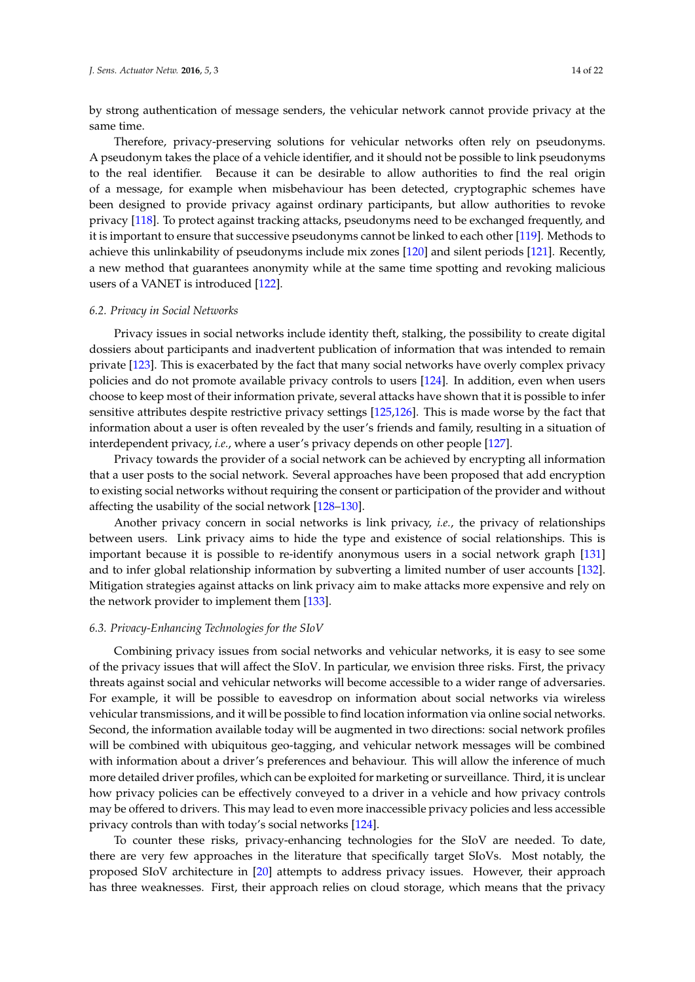by strong authentication of message senders, the vehicular network cannot provide privacy at the same time.

Therefore, privacy-preserving solutions for vehicular networks often rely on pseudonyms. A pseudonym takes the place of a vehicle identifier, and it should not be possible to link pseudonyms to the real identifier. Because it can be desirable to allow authorities to find the real origin of a message, for example when misbehaviour has been detected, cryptographic schemes have been designed to provide privacy against ordinary participants, but allow authorities to revoke privacy [\[118\]](#page-20-10). To protect against tracking attacks, pseudonyms need to be exchanged frequently, and it is important to ensure that successive pseudonyms cannot be linked to each other [\[119\]](#page-20-11). Methods to achieve this unlinkability of pseudonyms include mix zones [\[120\]](#page-20-12) and silent periods [\[121\]](#page-20-13). Recently, a new method that guarantees anonymity while at the same time spotting and revoking malicious users of a VANET is introduced [\[122\]](#page-20-14).

# *6.2. Privacy in Social Networks*

Privacy issues in social networks include identity theft, stalking, the possibility to create digital dossiers about participants and inadvertent publication of information that was intended to remain private [\[123\]](#page-20-15). This is exacerbated by the fact that many social networks have overly complex privacy policies and do not promote available privacy controls to users [\[124\]](#page-20-16). In addition, even when users choose to keep most of their information private, several attacks have shown that it is possible to infer sensitive attributes despite restrictive privacy settings [\[125,](#page-20-17)[126\]](#page-20-18). This is made worse by the fact that information about a user is often revealed by the user's friends and family, resulting in a situation of interdependent privacy, *i.e.*, where a user's privacy depends on other people [\[127\]](#page-20-19).

Privacy towards the provider of a social network can be achieved by encrypting all information that a user posts to the social network. Several approaches have been proposed that add encryption to existing social networks without requiring the consent or participation of the provider and without affecting the usability of the social network [\[128–](#page-21-0)[130\]](#page-21-1).

Another privacy concern in social networks is link privacy, *i.e.*, the privacy of relationships between users. Link privacy aims to hide the type and existence of social relationships. This is important because it is possible to re-identify anonymous users in a social network graph [\[131\]](#page-21-2) and to infer global relationship information by subverting a limited number of user accounts [\[132\]](#page-21-3). Mitigation strategies against attacks on link privacy aim to make attacks more expensive and rely on the network provider to implement them [\[133\]](#page-21-4).

# *6.3. Privacy-Enhancing Technologies for the SIoV*

Combining privacy issues from social networks and vehicular networks, it is easy to see some of the privacy issues that will affect the SIoV. In particular, we envision three risks. First, the privacy threats against social and vehicular networks will become accessible to a wider range of adversaries. For example, it will be possible to eavesdrop on information about social networks via wireless vehicular transmissions, and it will be possible to find location information via online social networks. Second, the information available today will be augmented in two directions: social network profiles will be combined with ubiquitous geo-tagging, and vehicular network messages will be combined with information about a driver's preferences and behaviour. This will allow the inference of much more detailed driver profiles, which can be exploited for marketing or surveillance. Third, it is unclear how privacy policies can be effectively conveyed to a driver in a vehicle and how privacy controls may be offered to drivers. This may lead to even more inaccessible privacy policies and less accessible privacy controls than with today's social networks [\[124\]](#page-20-16).

To counter these risks, privacy-enhancing technologies for the SIoV are needed. To date, there are very few approaches in the literature that specifically target SIoVs. Most notably, the proposed SIoV architecture in [\[20\]](#page-15-19) attempts to address privacy issues. However, their approach has three weaknesses. First, their approach relies on cloud storage, which means that the privacy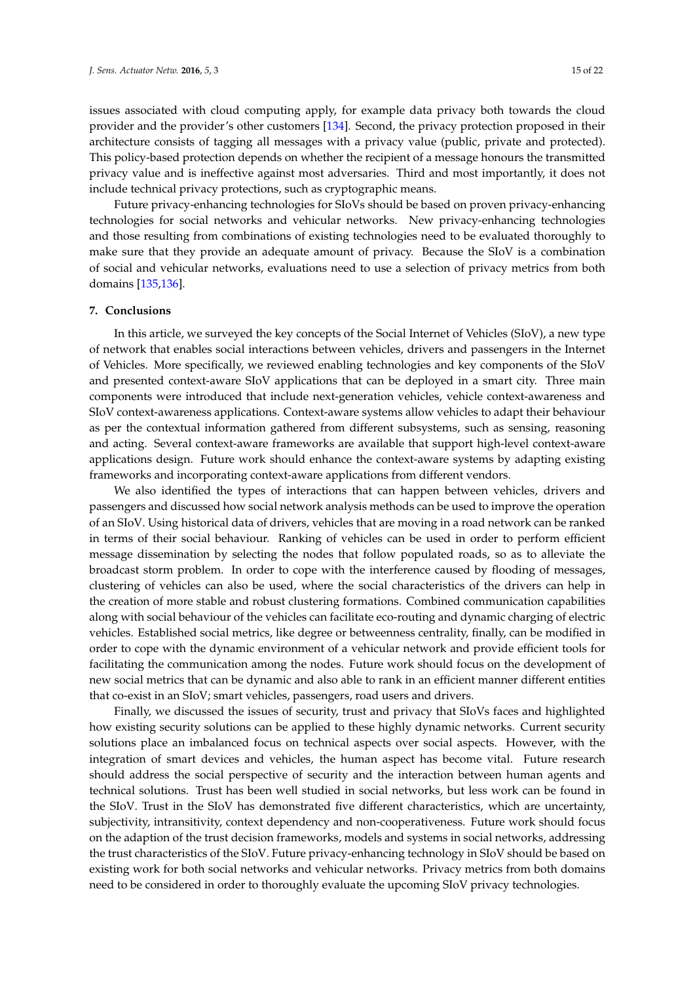issues associated with cloud computing apply, for example data privacy both towards the cloud provider and the provider's other customers [\[134\]](#page-21-5). Second, the privacy protection proposed in their architecture consists of tagging all messages with a privacy value (public, private and protected). This policy-based protection depends on whether the recipient of a message honours the transmitted privacy value and is ineffective against most adversaries. Third and most importantly, it does not include technical privacy protections, such as cryptographic means.

Future privacy-enhancing technologies for SIoVs should be based on proven privacy-enhancing technologies for social networks and vehicular networks. New privacy-enhancing technologies and those resulting from combinations of existing technologies need to be evaluated thoroughly to make sure that they provide an adequate amount of privacy. Because the SIoV is a combination of social and vehicular networks, evaluations need to use a selection of privacy metrics from both domains [\[135,](#page-21-6)[136\]](#page-21-7).

# **7. Conclusions**

In this article, we surveyed the key concepts of the Social Internet of Vehicles (SIoV), a new type of network that enables social interactions between vehicles, drivers and passengers in the Internet of Vehicles. More specifically, we reviewed enabling technologies and key components of the SIoV and presented context-aware SIoV applications that can be deployed in a smart city. Three main components were introduced that include next-generation vehicles, vehicle context-awareness and SIoV context-awareness applications. Context-aware systems allow vehicles to adapt their behaviour as per the contextual information gathered from different subsystems, such as sensing, reasoning and acting. Several context-aware frameworks are available that support high-level context-aware applications design. Future work should enhance the context-aware systems by adapting existing frameworks and incorporating context-aware applications from different vendors.

We also identified the types of interactions that can happen between vehicles, drivers and passengers and discussed how social network analysis methods can be used to improve the operation of an SIoV. Using historical data of drivers, vehicles that are moving in a road network can be ranked in terms of their social behaviour. Ranking of vehicles can be used in order to perform efficient message dissemination by selecting the nodes that follow populated roads, so as to alleviate the broadcast storm problem. In order to cope with the interference caused by flooding of messages, clustering of vehicles can also be used, where the social characteristics of the drivers can help in the creation of more stable and robust clustering formations. Combined communication capabilities along with social behaviour of the vehicles can facilitate eco-routing and dynamic charging of electric vehicles. Established social metrics, like degree or betweenness centrality, finally, can be modified in order to cope with the dynamic environment of a vehicular network and provide efficient tools for facilitating the communication among the nodes. Future work should focus on the development of new social metrics that can be dynamic and also able to rank in an efficient manner different entities that co-exist in an SIoV; smart vehicles, passengers, road users and drivers.

Finally, we discussed the issues of security, trust and privacy that SIoVs faces and highlighted how existing security solutions can be applied to these highly dynamic networks. Current security solutions place an imbalanced focus on technical aspects over social aspects. However, with the integration of smart devices and vehicles, the human aspect has become vital. Future research should address the social perspective of security and the interaction between human agents and technical solutions. Trust has been well studied in social networks, but less work can be found in the SIoV. Trust in the SIoV has demonstrated five different characteristics, which are uncertainty, subjectivity, intransitivity, context dependency and non-cooperativeness. Future work should focus on the adaption of the trust decision frameworks, models and systems in social networks, addressing the trust characteristics of the SIoV. Future privacy-enhancing technology in SIoV should be based on existing work for both social networks and vehicular networks. Privacy metrics from both domains need to be considered in order to thoroughly evaluate the upcoming SIoV privacy technologies.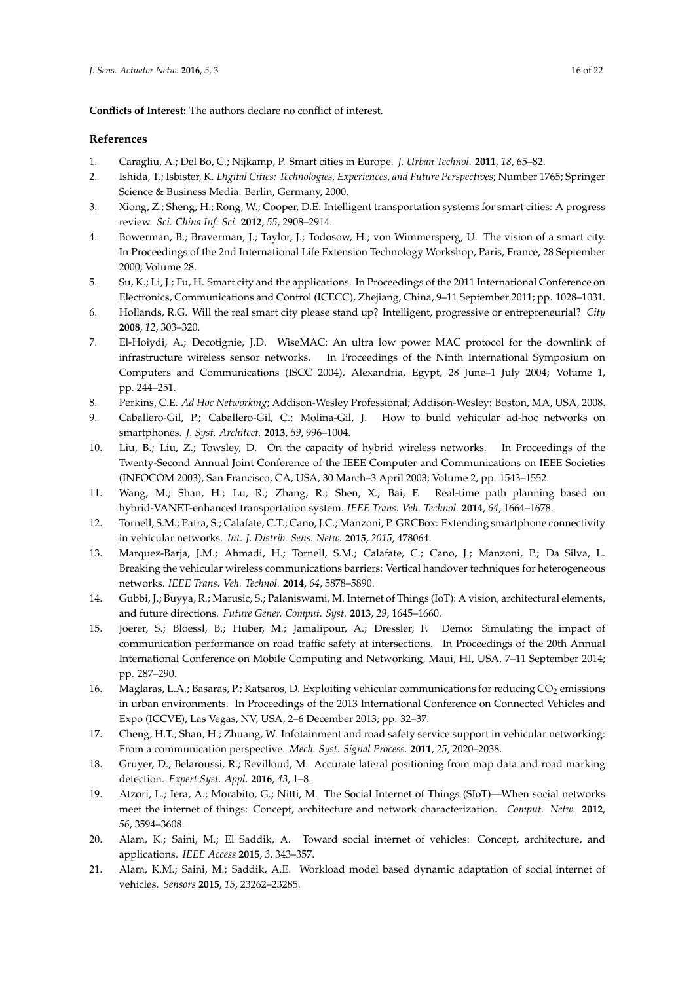**Conflicts of Interest:** The authors declare no conflict of interest.

# **References**

- <span id="page-15-0"></span>1. Caragliu, A.; Del Bo, C.; Nijkamp, P. Smart cities in Europe. *J. Urban Technol.* **2011**, *18*, 65–82.
- <span id="page-15-1"></span>2. Ishida, T.; Isbister, K. *Digital Cities: Technologies, Experiences, and Future Perspectives*; Number 1765; Springer Science & Business Media: Berlin, Germany, 2000.
- <span id="page-15-2"></span>3. Xiong, Z.; Sheng, H.; Rong, W.; Cooper, D.E. Intelligent transportation systems for smart cities: A progress review. *Sci. China Inf. Sci.* **2012**, *55*, 2908–2914.
- <span id="page-15-3"></span>4. Bowerman, B.; Braverman, J.; Taylor, J.; Todosow, H.; von Wimmersperg, U. The vision of a smart city. In Proceedings of the 2nd International Life Extension Technology Workshop, Paris, France, 28 September 2000; Volume 28.
- <span id="page-15-4"></span>5. Su, K.; Li, J.; Fu, H. Smart city and the applications. In Proceedings of the 2011 International Conference on Electronics, Communications and Control (ICECC), Zhejiang, China, 9–11 September 2011; pp. 1028–1031.
- <span id="page-15-5"></span>6. Hollands, R.G. Will the real smart city please stand up? Intelligent, progressive or entrepreneurial? *City* **2008**, *12*, 303–320.
- <span id="page-15-6"></span>7. El-Hoiydi, A.; Decotignie, J.D. WiseMAC: An ultra low power MAC protocol for the downlink of infrastructure wireless sensor networks. In Proceedings of the Ninth International Symposium on Computers and Communications (ISCC 2004), Alexandria, Egypt, 28 June–1 July 2004; Volume 1, pp. 244–251.
- <span id="page-15-7"></span>8. Perkins, C.E. *Ad Hoc Networking*; Addison-Wesley Professional; Addison-Wesley: Boston, MA, USA, 2008.
- <span id="page-15-8"></span>9. Caballero-Gil, P.; Caballero-Gil, C.; Molina-Gil, J. How to build vehicular ad-hoc networks on smartphones. *J. Syst. Architect.* **2013**, *59*, 996–1004.
- <span id="page-15-9"></span>10. Liu, B.; Liu, Z.; Towsley, D. On the capacity of hybrid wireless networks. In Proceedings of the Twenty-Second Annual Joint Conference of the IEEE Computer and Communications on IEEE Societies (INFOCOM 2003), San Francisco, CA, USA, 30 March–3 April 2003; Volume 2, pp. 1543–1552.
- <span id="page-15-10"></span>11. Wang, M.; Shan, H.; Lu, R.; Zhang, R.; Shen, X.; Bai, F. Real-time path planning based on hybrid-VANET-enhanced transportation system. *IEEE Trans. Veh. Technol.* **2014**, *64*, 1664–1678.
- <span id="page-15-11"></span>12. Tornell, S.M.; Patra, S.; Calafate, C.T.; Cano, J.C.; Manzoni, P. GRCBox: Extending smartphone connectivity in vehicular networks. *Int. J. Distrib. Sens. Netw.* **2015**, *2015*, 478064.
- <span id="page-15-12"></span>13. Marquez-Barja, J.M.; Ahmadi, H.; Tornell, S.M.; Calafate, C.; Cano, J.; Manzoni, P.; Da Silva, L. Breaking the vehicular wireless communications barriers: Vertical handover techniques for heterogeneous networks. *IEEE Trans. Veh. Technol.* **2014**, *64*, 5878–5890.
- <span id="page-15-13"></span>14. Gubbi, J.; Buyya, R.; Marusic, S.; Palaniswami, M. Internet of Things (IoT): A vision, architectural elements, and future directions. *Future Gener. Comput. Syst.* **2013**, *29*, 1645–1660.
- <span id="page-15-14"></span>15. Joerer, S.; Bloessl, B.; Huber, M.; Jamalipour, A.; Dressler, F. Demo: Simulating the impact of communication performance on road traffic safety at intersections. In Proceedings of the 20th Annual International Conference on Mobile Computing and Networking, Maui, HI, USA, 7–11 September 2014; pp. 287–290.
- <span id="page-15-15"></span>16. Maglaras, L.A.; Basaras, P.; Katsaros, D. Exploiting vehicular communications for reducing  $CO_2$  emissions in urban environments. In Proceedings of the 2013 International Conference on Connected Vehicles and Expo (ICCVE), Las Vegas, NV, USA, 2–6 December 2013; pp. 32–37.
- <span id="page-15-16"></span>17. Cheng, H.T.; Shan, H.; Zhuang, W. Infotainment and road safety service support in vehicular networking: From a communication perspective. *Mech. Syst. Signal Process.* **2011**, *25*, 2020–2038.
- <span id="page-15-17"></span>18. Gruyer, D.; Belaroussi, R.; Revilloud, M. Accurate lateral positioning from map data and road marking detection. *Expert Syst. Appl.* **2016**, *43*, 1–8.
- <span id="page-15-18"></span>19. Atzori, L.; Iera, A.; Morabito, G.; Nitti, M. The Social Internet of Things (SIoT)—When social networks meet the internet of things: Concept, architecture and network characterization. *Comput. Netw.* **2012**, *56*, 3594–3608.
- <span id="page-15-19"></span>20. Alam, K.; Saini, M.; El Saddik, A. Toward social internet of vehicles: Concept, architecture, and applications. *IEEE Access* **2015**, *3*, 343–357.
- <span id="page-15-20"></span>21. Alam, K.M.; Saini, M.; Saddik, A.E. Workload model based dynamic adaptation of social internet of vehicles. *Sensors* **2015**, *15*, 23262–23285.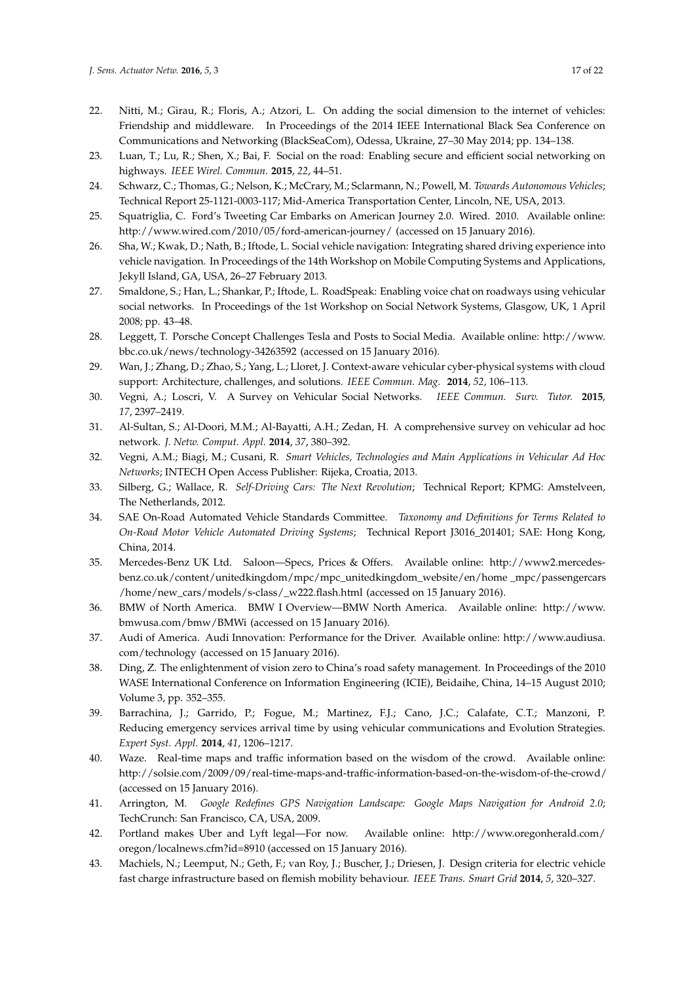- <span id="page-16-0"></span>22. Nitti, M.; Girau, R.; Floris, A.; Atzori, L. On adding the social dimension to the internet of vehicles: Friendship and middleware. In Proceedings of the 2014 IEEE International Black Sea Conference on Communications and Networking (BlackSeaCom), Odessa, Ukraine, 27–30 May 2014; pp. 134–138.
- <span id="page-16-1"></span>23. Luan, T.; Lu, R.; Shen, X.; Bai, F. Social on the road: Enabling secure and efficient social networking on highways. *IEEE Wirel. Commun.* **2015**, *22*, 44–51.
- <span id="page-16-2"></span>24. Schwarz, C.; Thomas, G.; Nelson, K.; McCrary, M.; Sclarmann, N.; Powell, M. *Towards Autonomous Vehicles*; Technical Report 25-1121-0003-117; Mid-America Transportation Center, Lincoln, NE, USA, 2013.
- <span id="page-16-3"></span>25. Squatriglia, C. Ford's Tweeting Car Embarks on American Journey 2.0. Wired. 2010. Available online: http://www.wired.com/2010/05/ford-american-journey/ (accessed on 15 January 2016).
- <span id="page-16-4"></span>26. Sha, W.; Kwak, D.; Nath, B.; Iftode, L. Social vehicle navigation: Integrating shared driving experience into vehicle navigation. In Proceedings of the 14th Workshop on Mobile Computing Systems and Applications, Jekyll Island, GA, USA, 26–27 February 2013.
- <span id="page-16-5"></span>27. Smaldone, S.; Han, L.; Shankar, P.; Iftode, L. RoadSpeak: Enabling voice chat on roadways using vehicular social networks. In Proceedings of the 1st Workshop on Social Network Systems, Glasgow, UK, 1 April 2008; pp. 43–48.
- <span id="page-16-6"></span>28. Leggett, T. Porsche Concept Challenges Tesla and Posts to Social Media. Available online: http://www. bbc.co.uk/news/technology-34263592 (accessed on 15 January 2016).
- <span id="page-16-7"></span>29. Wan, J.; Zhang, D.; Zhao, S.; Yang, L.; Lloret, J. Context-aware vehicular cyber-physical systems with cloud support: Architecture, challenges, and solutions. *IEEE Commun. Mag.* **2014**, *52*, 106–113.
- <span id="page-16-8"></span>30. Vegni, A.; Loscri, V. A Survey on Vehicular Social Networks. *IEEE Commun. Surv. Tutor.* **2015**, *17*, 2397–2419.
- <span id="page-16-9"></span>31. Al-Sultan, S.; Al-Doori, M.M.; Al-Bayatti, A.H.; Zedan, H. A comprehensive survey on vehicular ad hoc network. *J. Netw. Comput. Appl.* **2014**, *37*, 380–392.
- <span id="page-16-10"></span>32. Vegni, A.M.; Biagi, M.; Cusani, R. *Smart Vehicles, Technologies and Main Applications in Vehicular Ad Hoc Networks*; INTECH Open Access Publisher: Rijeka, Croatia, 2013.
- <span id="page-16-11"></span>33. Silberg, G.; Wallace, R. *Self-Driving Cars: The Next Revolution*; Technical Report; KPMG: Amstelveen, The Netherlands, 2012.
- <span id="page-16-12"></span>34. SAE On-Road Automated Vehicle Standards Committee. *Taxonomy and Definitions for Terms Related to On-Road Motor Vehicle Automated Driving Systems*; Technical Report J3016\_201401; SAE: Hong Kong, China, 2014.
- <span id="page-16-13"></span>35. Mercedes-Benz UK Ltd. Saloon—Specs, Prices & Offers. Available online: http://www2.mercedesbenz.co.uk/content/unitedkingdom/mpc/mpc\_unitedkingdom\_website/en/home \_mpc/passengercars /home/new\_cars/models/s-class/\_w222.flash.html (accessed on 15 January 2016).
- <span id="page-16-14"></span>36. BMW of North America. BMW I Overview—BMW North America. Available online: http://www. bmwusa.com/bmw/BMWi (accessed on 15 January 2016).
- <span id="page-16-15"></span>37. Audi of America. Audi Innovation: Performance for the Driver. Available online: http://www.audiusa. com/technology (accessed on 15 January 2016).
- <span id="page-16-16"></span>38. Ding, Z. The enlightenment of vision zero to China's road safety management. In Proceedings of the 2010 WASE International Conference on Information Engineering (ICIE), Beidaihe, China, 14–15 August 2010; Volume 3, pp. 352–355.
- <span id="page-16-17"></span>39. Barrachina, J.; Garrido, P.; Fogue, M.; Martinez, F.J.; Cano, J.C.; Calafate, C.T.; Manzoni, P. Reducing emergency services arrival time by using vehicular communications and Evolution Strategies. *Expert Syst. Appl.* **2014**, *41*, 1206–1217.
- <span id="page-16-18"></span>40. Waze. Real-time maps and traffic information based on the wisdom of the crowd. Available online: http://solsie.com/2009/09/real-time-maps-and-traffic-information-based-on-the-wisdom-of-the-crowd/ (accessed on 15 January 2016).
- <span id="page-16-19"></span>41. Arrington, M. *Google Redefines GPS Navigation Landscape: Google Maps Navigation for Android 2.0*; TechCrunch: San Francisco, CA, USA, 2009.
- <span id="page-16-20"></span>42. Portland makes Uber and Lyft legal—For now. Available online: http://www.oregonherald.com/ oregon/localnews.cfm?id=8910 (accessed on 15 January 2016).
- <span id="page-16-21"></span>43. Machiels, N.; Leemput, N.; Geth, F.; van Roy, J.; Buscher, J.; Driesen, J. Design criteria for electric vehicle fast charge infrastructure based on flemish mobility behaviour. *IEEE Trans. Smart Grid* **2014**, *5*, 320–327.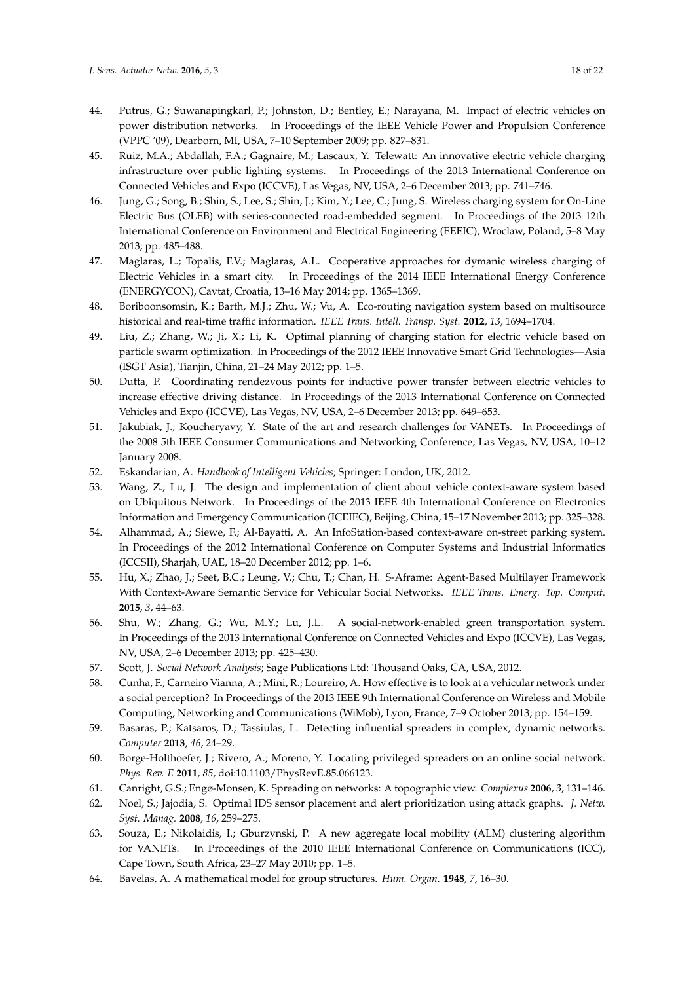- 44. Putrus, G.; Suwanapingkarl, P.; Johnston, D.; Bentley, E.; Narayana, M. Impact of electric vehicles on power distribution networks. In Proceedings of the IEEE Vehicle Power and Propulsion Conference (VPPC '09), Dearborn, MI, USA, 7–10 September 2009; pp. 827–831.
- <span id="page-17-0"></span>45. Ruiz, M.A.; Abdallah, F.A.; Gagnaire, M.; Lascaux, Y. Telewatt: An innovative electric vehicle charging infrastructure over public lighting systems. In Proceedings of the 2013 International Conference on Connected Vehicles and Expo (ICCVE), Las Vegas, NV, USA, 2–6 December 2013; pp. 741–746.
- <span id="page-17-1"></span>46. Jung, G.; Song, B.; Shin, S.; Lee, S.; Shin, J.; Kim, Y.; Lee, C.; Jung, S. Wireless charging system for On-Line Electric Bus (OLEB) with series-connected road-embedded segment. In Proceedings of the 2013 12th International Conference on Environment and Electrical Engineering (EEEIC), Wroclaw, Poland, 5–8 May 2013; pp. 485–488.
- <span id="page-17-2"></span>47. Maglaras, L.; Topalis, F.V.; Maglaras, A.L. Cooperative approaches for dymanic wireless charging of Electric Vehicles in a smart city. In Proceedings of the 2014 IEEE International Energy Conference (ENERGYCON), Cavtat, Croatia, 13–16 May 2014; pp. 1365–1369.
- <span id="page-17-3"></span>48. Boriboonsomsin, K.; Barth, M.J.; Zhu, W.; Vu, A. Eco-routing navigation system based on multisource historical and real-time traffic information. *IEEE Trans. Intell. Transp. Syst.* **2012**, *13*, 1694–1704.
- <span id="page-17-4"></span>49. Liu, Z.; Zhang, W.; Ji, X.; Li, K. Optimal planning of charging station for electric vehicle based on particle swarm optimization. In Proceedings of the 2012 IEEE Innovative Smart Grid Technologies—Asia (ISGT Asia), Tianjin, China, 21–24 May 2012; pp. 1–5.
- <span id="page-17-5"></span>50. Dutta, P. Coordinating rendezvous points for inductive power transfer between electric vehicles to increase effective driving distance. In Proceedings of the 2013 International Conference on Connected Vehicles and Expo (ICCVE), Las Vegas, NV, USA, 2–6 December 2013; pp. 649–653.
- <span id="page-17-6"></span>51. Jakubiak, J.; Koucheryavy, Y. State of the art and research challenges for VANETs. In Proceedings of the 2008 5th IEEE Consumer Communications and Networking Conference; Las Vegas, NV, USA, 10–12 January 2008.
- <span id="page-17-7"></span>52. Eskandarian, A. *Handbook of Intelligent Vehicles*; Springer: London, UK, 2012.
- <span id="page-17-8"></span>53. Wang, Z.; Lu, J. The design and implementation of client about vehicle context-aware system based on Ubiquitous Network. In Proceedings of the 2013 IEEE 4th International Conference on Electronics Information and Emergency Communication (ICEIEC), Beijing, China, 15–17 November 2013; pp. 325–328.
- <span id="page-17-9"></span>54. Alhammad, A.; Siewe, F.; Al-Bayatti, A. An InfoStation-based context-aware on-street parking system. In Proceedings of the 2012 International Conference on Computer Systems and Industrial Informatics (ICCSII), Sharjah, UAE, 18–20 December 2012; pp. 1–6.
- <span id="page-17-10"></span>55. Hu, X.; Zhao, J.; Seet, B.C.; Leung, V.; Chu, T.; Chan, H. S-Aframe: Agent-Based Multilayer Framework With Context-Aware Semantic Service for Vehicular Social Networks. *IEEE Trans. Emerg. Top. Comput.* **2015**, *3*, 44–63.
- <span id="page-17-11"></span>56. Shu, W.; Zhang, G.; Wu, M.Y.; Lu, J.L. A social-network-enabled green transportation system. In Proceedings of the 2013 International Conference on Connected Vehicles and Expo (ICCVE), Las Vegas, NV, USA, 2–6 December 2013; pp. 425–430.
- <span id="page-17-12"></span>57. Scott, J. *Social Network Analysis*; Sage Publications Ltd: Thousand Oaks, CA, USA, 2012.
- <span id="page-17-13"></span>58. Cunha, F.; Carneiro Vianna, A.; Mini, R.; Loureiro, A. How effective is to look at a vehicular network under a social perception? In Proceedings of the 2013 IEEE 9th International Conference on Wireless and Mobile Computing, Networking and Communications (WiMob), Lyon, France, 7–9 October 2013; pp. 154–159.
- <span id="page-17-14"></span>59. Basaras, P.; Katsaros, D.; Tassiulas, L. Detecting influential spreaders in complex, dynamic networks. *Computer* **2013**, *46*, 24–29.
- <span id="page-17-15"></span>60. Borge-Holthoefer, J.; Rivero, A.; Moreno, Y. Locating privileged spreaders on an online social network. *Phys. Rev. E* **2011**, *85*, doi:10.1103/PhysRevE.85.066123.
- <span id="page-17-16"></span>61. Canright, G.S.; Engø-Monsen, K. Spreading on networks: A topographic view. *Complexus* **2006**, *3*, 131–146.
- <span id="page-17-17"></span>62. Noel, S.; Jajodia, S. Optimal IDS sensor placement and alert prioritization using attack graphs. *J. Netw. Syst. Manag.* **2008**, *16*, 259–275.
- <span id="page-17-18"></span>63. Souza, E.; Nikolaidis, I.; Gburzynski, P. A new aggregate local mobility (ALM) clustering algorithm for VANETs. In Proceedings of the 2010 IEEE International Conference on Communications (ICC), Cape Town, South Africa, 23–27 May 2010; pp. 1–5.
- <span id="page-17-19"></span>64. Bavelas, A. A mathematical model for group structures. *Hum. Organ.* **1948**, *7*, 16–30.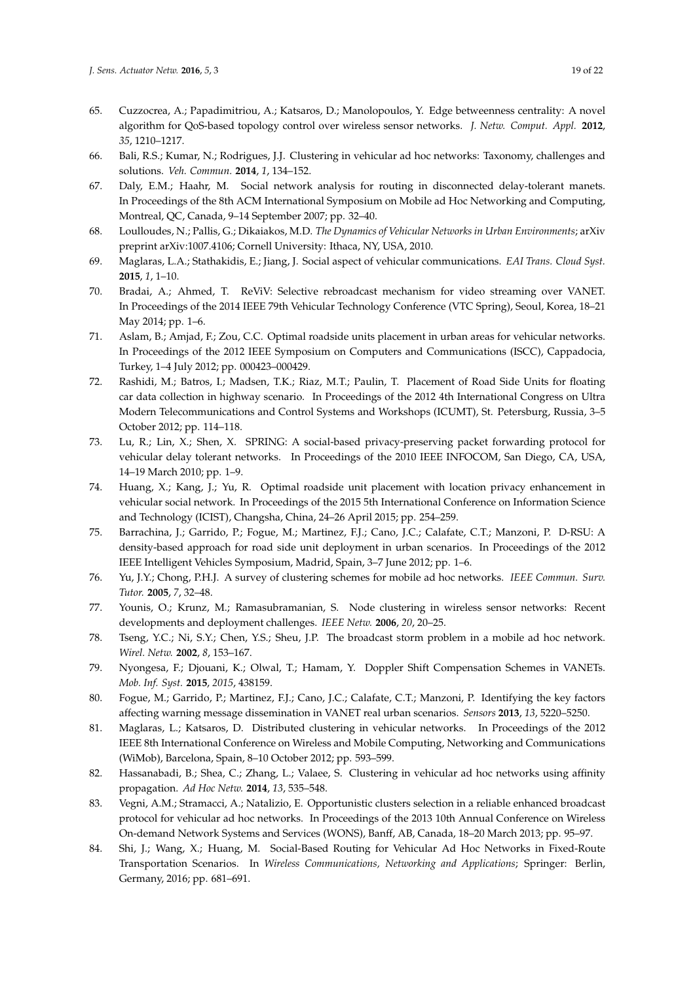- <span id="page-18-0"></span>65. Cuzzocrea, A.; Papadimitriou, A.; Katsaros, D.; Manolopoulos, Y. Edge betweenness centrality: A novel algorithm for QoS-based topology control over wireless sensor networks. *J. Netw. Comput. Appl.* **2012**, *35*, 1210–1217.
- <span id="page-18-1"></span>66. Bali, R.S.; Kumar, N.; Rodrigues, J.J. Clustering in vehicular ad hoc networks: Taxonomy, challenges and solutions. *Veh. Commun.* **2014**, *1*, 134–152.
- <span id="page-18-2"></span>67. Daly, E.M.; Haahr, M. Social network analysis for routing in disconnected delay-tolerant manets. In Proceedings of the 8th ACM International Symposium on Mobile ad Hoc Networking and Computing, Montreal, QC, Canada, 9–14 September 2007; pp. 32–40.
- <span id="page-18-3"></span>68. Loulloudes, N.; Pallis, G.; Dikaiakos, M.D. *The Dynamics of Vehicular Networks in Urban Environments*; arXiv preprint arXiv:1007.4106; Cornell University: Ithaca, NY, USA, 2010.
- <span id="page-18-4"></span>69. Maglaras, L.A.; Stathakidis, E.; Jiang, J. Social aspect of vehicular communications. *EAI Trans. Cloud Syst.* **2015**, *1*, 1–10.
- <span id="page-18-5"></span>70. Bradai, A.; Ahmed, T. ReViV: Selective rebroadcast mechanism for video streaming over VANET. In Proceedings of the 2014 IEEE 79th Vehicular Technology Conference (VTC Spring), Seoul, Korea, 18–21 May 2014; pp. 1–6.
- <span id="page-18-6"></span>71. Aslam, B.; Amjad, F.; Zou, C.C. Optimal roadside units placement in urban areas for vehicular networks. In Proceedings of the 2012 IEEE Symposium on Computers and Communications (ISCC), Cappadocia, Turkey, 1–4 July 2012; pp. 000423–000429.
- <span id="page-18-7"></span>72. Rashidi, M.; Batros, I.; Madsen, T.K.; Riaz, M.T.; Paulin, T. Placement of Road Side Units for floating car data collection in highway scenario. In Proceedings of the 2012 4th International Congress on Ultra Modern Telecommunications and Control Systems and Workshops (ICUMT), St. Petersburg, Russia, 3–5 October 2012; pp. 114–118.
- <span id="page-18-8"></span>73. Lu, R.; Lin, X.; Shen, X. SPRING: A social-based privacy-preserving packet forwarding protocol for vehicular delay tolerant networks. In Proceedings of the 2010 IEEE INFOCOM, San Diego, CA, USA, 14–19 March 2010; pp. 1–9.
- <span id="page-18-9"></span>74. Huang, X.; Kang, J.; Yu, R. Optimal roadside unit placement with location privacy enhancement in vehicular social network. In Proceedings of the 2015 5th International Conference on Information Science and Technology (ICIST), Changsha, China, 24–26 April 2015; pp. 254–259.
- <span id="page-18-10"></span>75. Barrachina, J.; Garrido, P.; Fogue, M.; Martinez, F.J.; Cano, J.C.; Calafate, C.T.; Manzoni, P. D-RSU: A density-based approach for road side unit deployment in urban scenarios. In Proceedings of the 2012 IEEE Intelligent Vehicles Symposium, Madrid, Spain, 3–7 June 2012; pp. 1–6.
- <span id="page-18-11"></span>76. Yu, J.Y.; Chong, P.H.J. A survey of clustering schemes for mobile ad hoc networks. *IEEE Commun. Surv. Tutor.* **2005**, *7*, 32–48.
- <span id="page-18-12"></span>77. Younis, O.; Krunz, M.; Ramasubramanian, S. Node clustering in wireless sensor networks: Recent developments and deployment challenges. *IEEE Netw.* **2006**, *20*, 20–25.
- <span id="page-18-13"></span>78. Tseng, Y.C.; Ni, S.Y.; Chen, Y.S.; Sheu, J.P. The broadcast storm problem in a mobile ad hoc network. *Wirel. Netw.* **2002**, *8*, 153–167.
- <span id="page-18-14"></span>79. Nyongesa, F.; Djouani, K.; Olwal, T.; Hamam, Y. Doppler Shift Compensation Schemes in VANETs. *Mob. Inf. Syst.* **2015**, *2015*, 438159.
- <span id="page-18-15"></span>80. Fogue, M.; Garrido, P.; Martinez, F.J.; Cano, J.C.; Calafate, C.T.; Manzoni, P. Identifying the key factors affecting warning message dissemination in VANET real urban scenarios. *Sensors* **2013**, *13*, 5220–5250.
- <span id="page-18-16"></span>81. Maglaras, L.; Katsaros, D. Distributed clustering in vehicular networks. In Proceedings of the 2012 IEEE 8th International Conference on Wireless and Mobile Computing, Networking and Communications (WiMob), Barcelona, Spain, 8–10 October 2012; pp. 593–599.
- <span id="page-18-17"></span>82. Hassanabadi, B.; Shea, C.; Zhang, L.; Valaee, S. Clustering in vehicular ad hoc networks using affinity propagation. *Ad Hoc Netw.* **2014**, *13*, 535–548.
- <span id="page-18-18"></span>83. Vegni, A.M.; Stramacci, A.; Natalizio, E. Opportunistic clusters selection in a reliable enhanced broadcast protocol for vehicular ad hoc networks. In Proceedings of the 2013 10th Annual Conference on Wireless On-demand Network Systems and Services (WONS), Banff, AB, Canada, 18–20 March 2013; pp. 95–97.
- <span id="page-18-19"></span>84. Shi, J.; Wang, X.; Huang, M. Social-Based Routing for Vehicular Ad Hoc Networks in Fixed-Route Transportation Scenarios. In *Wireless Communications, Networking and Applications*; Springer: Berlin, Germany, 2016; pp. 681–691.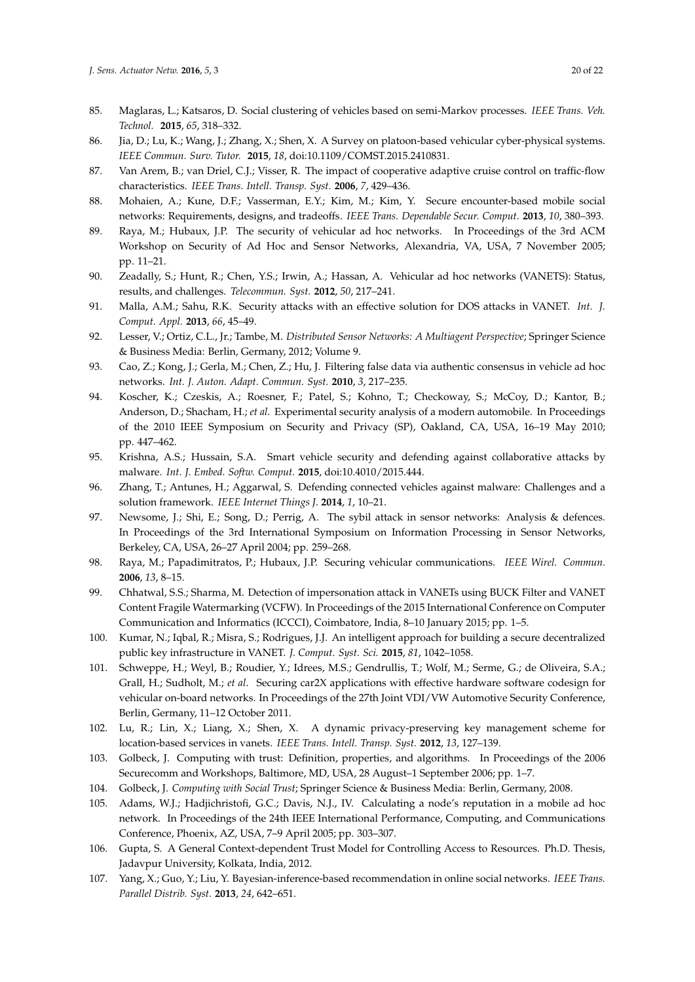- <span id="page-19-0"></span>85. Maglaras, L.; Katsaros, D. Social clustering of vehicles based on semi-Markov processes. *IEEE Trans. Veh. Technol.* **2015**, *65*, 318–332.
- <span id="page-19-1"></span>86. Jia, D.; Lu, K.; Wang, J.; Zhang, X.; Shen, X. A Survey on platoon-based vehicular cyber-physical systems. *IEEE Commun. Surv. Tutor.* **2015**, *18*, doi:10.1109/COMST.2015.2410831.
- <span id="page-19-2"></span>87. Van Arem, B.; van Driel, C.J.; Visser, R. The impact of cooperative adaptive cruise control on traffic-flow characteristics. *IEEE Trans. Intell. Transp. Syst.* **2006**, *7*, 429–436.
- <span id="page-19-3"></span>88. Mohaien, A.; Kune, D.F.; Vasserman, E.Y.; Kim, M.; Kim, Y. Secure encounter-based mobile social networks: Requirements, designs, and tradeoffs. *IEEE Trans. Dependable Secur. Comput.* **2013**, *10*, 380–393.
- <span id="page-19-4"></span>89. Raya, M.; Hubaux, J.P. The security of vehicular ad hoc networks. In Proceedings of the 3rd ACM Workshop on Security of Ad Hoc and Sensor Networks, Alexandria, VA, USA, 7 November 2005; pp. 11–21.
- <span id="page-19-5"></span>90. Zeadally, S.; Hunt, R.; Chen, Y.S.; Irwin, A.; Hassan, A. Vehicular ad hoc networks (VANETS): Status, results, and challenges. *Telecommun. Syst.* **2012**, *50*, 217–241.
- <span id="page-19-6"></span>91. Malla, A.M.; Sahu, R.K. Security attacks with an effective solution for DOS attacks in VANET. *Int. J. Comput. Appl.* **2013**, *66*, 45–49.
- <span id="page-19-7"></span>92. Lesser, V.; Ortiz, C.L., Jr.; Tambe, M. *Distributed Sensor Networks: A Multiagent Perspective*; Springer Science & Business Media: Berlin, Germany, 2012; Volume 9.
- <span id="page-19-8"></span>93. Cao, Z.; Kong, J.; Gerla, M.; Chen, Z.; Hu, J. Filtering false data via authentic consensus in vehicle ad hoc networks. *Int. J. Auton. Adapt. Commun. Syst.* **2010**, *3*, 217–235.
- <span id="page-19-9"></span>94. Koscher, K.; Czeskis, A.; Roesner, F.; Patel, S.; Kohno, T.; Checkoway, S.; McCoy, D.; Kantor, B.; Anderson, D.; Shacham, H.; *et al.* Experimental security analysis of a modern automobile. In Proceedings of the 2010 IEEE Symposium on Security and Privacy (SP), Oakland, CA, USA, 16–19 May 2010; pp. 447–462.
- <span id="page-19-10"></span>95. Krishna, A.S.; Hussain, S.A. Smart vehicle security and defending against collaborative attacks by malware. *Int. J. Embed. Softw. Comput.* **2015**, doi:10.4010/2015.444.
- <span id="page-19-11"></span>96. Zhang, T.; Antunes, H.; Aggarwal, S. Defending connected vehicles against malware: Challenges and a solution framework. *IEEE Internet Things J.* **2014**, *1*, 10–21.
- <span id="page-19-12"></span>97. Newsome, J.; Shi, E.; Song, D.; Perrig, A. The sybil attack in sensor networks: Analysis & defences. In Proceedings of the 3rd International Symposium on Information Processing in Sensor Networks, Berkeley, CA, USA, 26–27 April 2004; pp. 259–268.
- <span id="page-19-13"></span>98. Raya, M.; Papadimitratos, P.; Hubaux, J.P. Securing vehicular communications. *IEEE Wirel. Commun.* **2006**, *13*, 8–15.
- <span id="page-19-14"></span>99. Chhatwal, S.S.; Sharma, M. Detection of impersonation attack in VANETs using BUCK Filter and VANET Content Fragile Watermarking (VCFW). In Proceedings of the 2015 International Conference on Computer Communication and Informatics (ICCCI), Coimbatore, India, 8–10 January 2015; pp. 1–5.
- <span id="page-19-15"></span>100. Kumar, N.; Iqbal, R.; Misra, S.; Rodrigues, J.J. An intelligent approach for building a secure decentralized public key infrastructure in VANET. *J. Comput. Syst. Sci.* **2015**, *81*, 1042–1058.
- <span id="page-19-16"></span>101. Schweppe, H.; Weyl, B.; Roudier, Y.; Idrees, M.S.; Gendrullis, T.; Wolf, M.; Serme, G.; de Oliveira, S.A.; Grall, H.; Sudholt, M.; *et al*. Securing car2X applications with effective hardware software codesign for vehicular on-board networks. In Proceedings of the 27th Joint VDI/VW Automotive Security Conference, Berlin, Germany, 11–12 October 2011.
- <span id="page-19-17"></span>102. Lu, R.; Lin, X.; Liang, X.; Shen, X. A dynamic privacy-preserving key management scheme for location-based services in vanets. *IEEE Trans. Intell. Transp. Syst.* **2012**, *13*, 127–139.
- <span id="page-19-18"></span>103. Golbeck, J. Computing with trust: Definition, properties, and algorithms. In Proceedings of the 2006 Securecomm and Workshops, Baltimore, MD, USA, 28 August–1 September 2006; pp. 1–7.
- <span id="page-19-20"></span><span id="page-19-19"></span>104. Golbeck, J. *Computing with Social Trust*; Springer Science & Business Media: Berlin, Germany, 2008.
- 105. Adams, W.J.; Hadjichristofi, G.C.; Davis, N.J., IV. Calculating a node's reputation in a mobile ad hoc network. In Proceedings of the 24th IEEE International Performance, Computing, and Communications Conference, Phoenix, AZ, USA, 7–9 April 2005; pp. 303–307.
- <span id="page-19-21"></span>106. Gupta, S. A General Context-dependent Trust Model for Controlling Access to Resources. Ph.D. Thesis, Jadavpur University, Kolkata, India, 2012.
- <span id="page-19-22"></span>107. Yang, X.; Guo, Y.; Liu, Y. Bayesian-inference-based recommendation in online social networks. *IEEE Trans. Parallel Distrib. Syst.* **2013**, *24*, 642–651.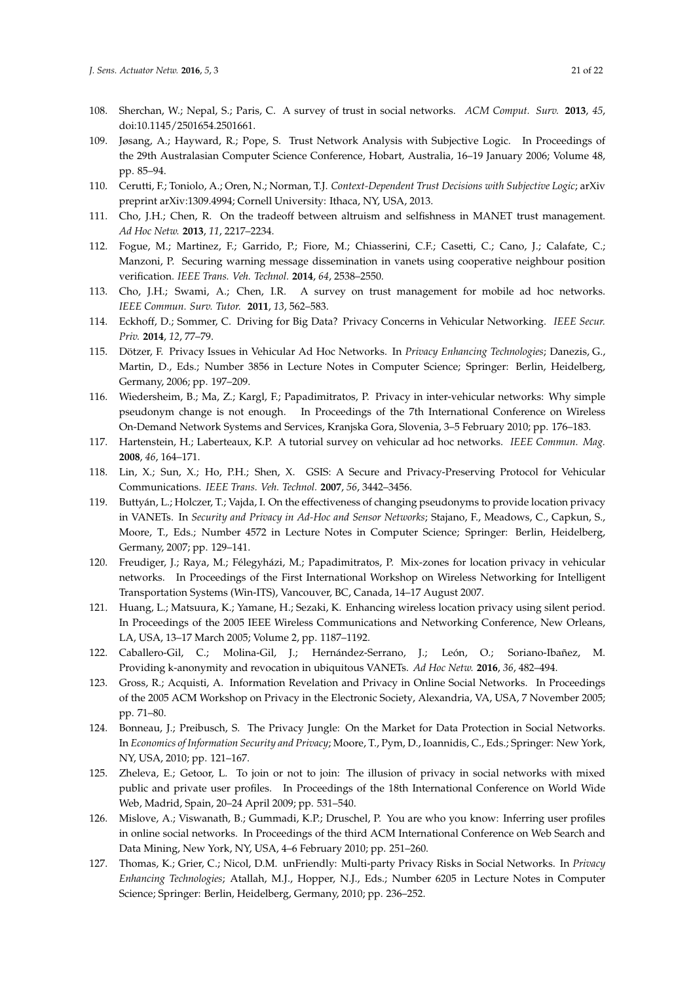- <span id="page-20-0"></span>108. Sherchan, W.; Nepal, S.; Paris, C. A survey of trust in social networks. *ACM Comput. Surv.* **2013**, *45*, doi:10.1145/2501654.2501661.
- <span id="page-20-1"></span>109. Jøsang, A.; Hayward, R.; Pope, S. Trust Network Analysis with Subjective Logic. In Proceedings of the 29th Australasian Computer Science Conference, Hobart, Australia, 16–19 January 2006; Volume 48, pp. 85–94.
- <span id="page-20-2"></span>110. Cerutti, F.; Toniolo, A.; Oren, N.; Norman, T.J. *Context-Dependent Trust Decisions with Subjective Logic*; arXiv preprint arXiv:1309.4994; Cornell University: Ithaca, NY, USA, 2013.
- <span id="page-20-3"></span>111. Cho, J.H.; Chen, R. On the tradeoff between altruism and selfishness in MANET trust management. *Ad Hoc Netw.* **2013**, *11*, 2217–2234.
- <span id="page-20-4"></span>112. Fogue, M.; Martinez, F.; Garrido, P.; Fiore, M.; Chiasserini, C.F.; Casetti, C.; Cano, J.; Calafate, C.; Manzoni, P. Securing warning message dissemination in vanets using cooperative neighbour position verification. *IEEE Trans. Veh. Technol.* **2014**, *64*, 2538–2550.
- <span id="page-20-5"></span>113. Cho, J.H.; Swami, A.; Chen, I.R. A survey on trust management for mobile ad hoc networks. *IEEE Commun. Surv. Tutor.* **2011**, *13*, 562–583.
- <span id="page-20-6"></span>114. Eckhoff, D.; Sommer, C. Driving for Big Data? Privacy Concerns in Vehicular Networking. *IEEE Secur. Priv.* **2014**, *12*, 77–79.
- <span id="page-20-7"></span>115. Dötzer, F. Privacy Issues in Vehicular Ad Hoc Networks. In *Privacy Enhancing Technologies*; Danezis, G., Martin, D., Eds.; Number 3856 in Lecture Notes in Computer Science; Springer: Berlin, Heidelberg, Germany, 2006; pp. 197–209.
- <span id="page-20-8"></span>116. Wiedersheim, B.; Ma, Z.; Kargl, F.; Papadimitratos, P. Privacy in inter-vehicular networks: Why simple pseudonym change is not enough. In Proceedings of the 7th International Conference on Wireless On-Demand Network Systems and Services, Kranjska Gora, Slovenia, 3–5 February 2010; pp. 176–183.
- <span id="page-20-9"></span>117. Hartenstein, H.; Laberteaux, K.P. A tutorial survey on vehicular ad hoc networks. *IEEE Commun. Mag.* **2008**, *46*, 164–171.
- <span id="page-20-10"></span>118. Lin, X.; Sun, X.; Ho, P.H.; Shen, X. GSIS: A Secure and Privacy-Preserving Protocol for Vehicular Communications. *IEEE Trans. Veh. Technol.* **2007**, *56*, 3442–3456.
- <span id="page-20-11"></span>119. Buttyán, L.; Holczer, T.; Vajda, I. On the effectiveness of changing pseudonyms to provide location privacy in VANETs. In *Security and Privacy in Ad-Hoc and Sensor Networks*; Stajano, F., Meadows, C., Capkun, S., Moore, T., Eds.; Number 4572 in Lecture Notes in Computer Science; Springer: Berlin, Heidelberg, Germany, 2007; pp. 129–141.
- <span id="page-20-12"></span>120. Freudiger, J.; Raya, M.; Félegyházi, M.; Papadimitratos, P. Mix-zones for location privacy in vehicular networks. In Proceedings of the First International Workshop on Wireless Networking for Intelligent Transportation Systems (Win-ITS), Vancouver, BC, Canada, 14–17 August 2007.
- <span id="page-20-13"></span>121. Huang, L.; Matsuura, K.; Yamane, H.; Sezaki, K. Enhancing wireless location privacy using silent period. In Proceedings of the 2005 IEEE Wireless Communications and Networking Conference, New Orleans, LA, USA, 13–17 March 2005; Volume 2, pp. 1187–1192.
- <span id="page-20-14"></span>122. Caballero-Gil, C.; Molina-Gil, J.; Hernández-Serrano, J.; León, O.; Soriano-Ibañez, M. Providing k-anonymity and revocation in ubiquitous VANETs. *Ad Hoc Netw.* **2016**, *36*, 482–494.
- <span id="page-20-15"></span>123. Gross, R.; Acquisti, A. Information Revelation and Privacy in Online Social Networks. In Proceedings of the 2005 ACM Workshop on Privacy in the Electronic Society, Alexandria, VA, USA, 7 November 2005; pp. 71–80.
- <span id="page-20-16"></span>124. Bonneau, J.; Preibusch, S. The Privacy Jungle: On the Market for Data Protection in Social Networks. In *Economics of Information Security and Privacy*; Moore, T., Pym, D., Ioannidis, C., Eds.; Springer: New York, NY, USA, 2010; pp. 121–167.
- <span id="page-20-17"></span>125. Zheleva, E.; Getoor, L. To join or not to join: The illusion of privacy in social networks with mixed public and private user profiles. In Proceedings of the 18th International Conference on World Wide Web, Madrid, Spain, 20–24 April 2009; pp. 531–540.
- <span id="page-20-18"></span>126. Mislove, A.; Viswanath, B.; Gummadi, K.P.; Druschel, P. You are who you know: Inferring user profiles in online social networks. In Proceedings of the third ACM International Conference on Web Search and Data Mining, New York, NY, USA, 4–6 February 2010; pp. 251–260.
- <span id="page-20-19"></span>127. Thomas, K.; Grier, C.; Nicol, D.M. unFriendly: Multi-party Privacy Risks in Social Networks. In *Privacy Enhancing Technologies*; Atallah, M.J., Hopper, N.J., Eds.; Number 6205 in Lecture Notes in Computer Science; Springer: Berlin, Heidelberg, Germany, 2010; pp. 236–252.